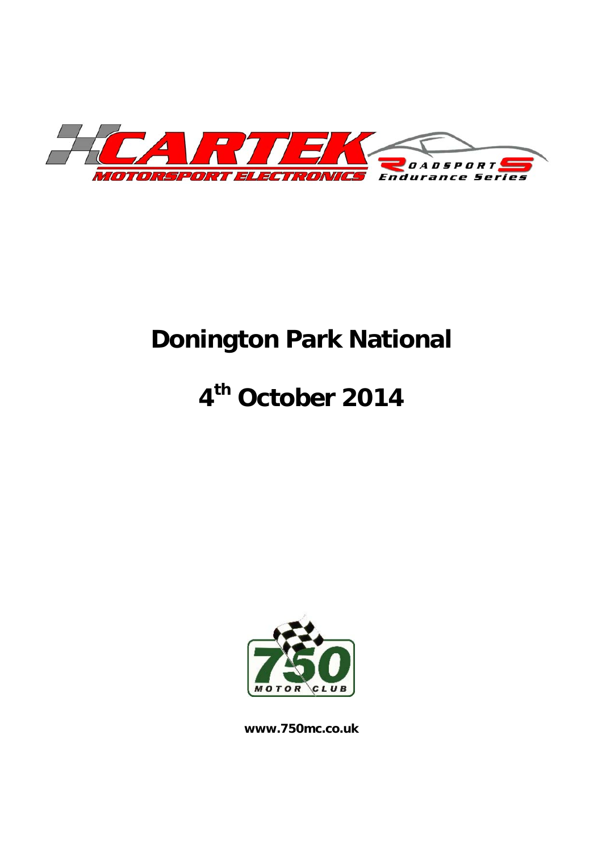

# **Donington Park National**

# **4th October 2014**



**www.750mc.co.uk**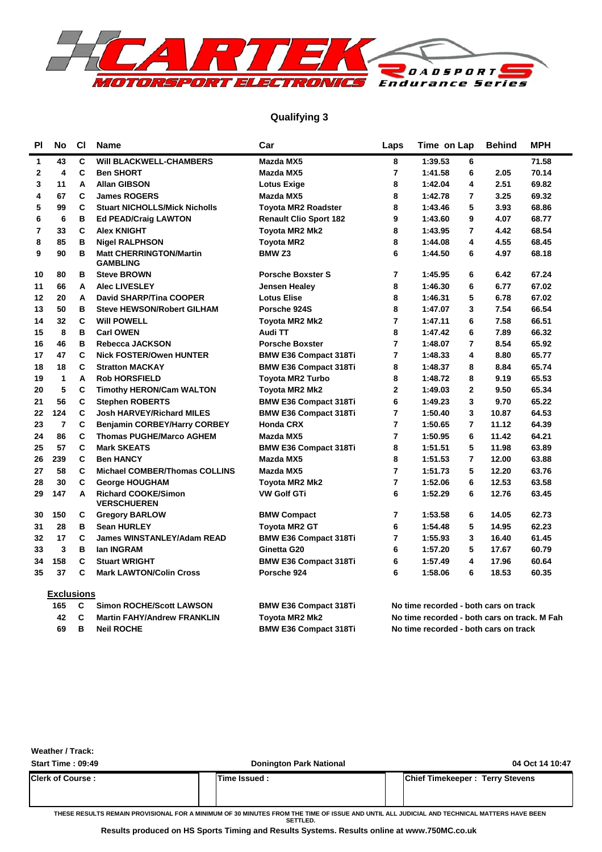

### **Qualifying 3**

| PI             | No                      | C1 | <b>Name</b>                                       | Car                           | Laps           | Time on Lap                           | <b>Behind</b> | <b>MPH</b> |
|----------------|-------------------------|----|---------------------------------------------------|-------------------------------|----------------|---------------------------------------|---------------|------------|
| 1              | 43                      | C  | <b>WIII BLACKWELL-CHAMBERS</b>                    | Mazda MX5                     | 8              | 1:39.53<br>6                          |               | 71.58      |
| $\mathbf{2}$   | $\overline{\mathbf{4}}$ | C  | <b>Ben SHORT</b>                                  | Mazda MX5                     | $\overline{7}$ | 1:41.58<br>6                          | 2.05          | 70.14      |
| 3              | 11                      | A  | <b>Allan GIBSON</b>                               | <b>Lotus Exige</b>            | 8              | 4<br>1:42.04                          | 2.51          | 69.82      |
| 4              | 67                      | C  | <b>James ROGERS</b>                               | Mazda MX5                     | 8              | 1:42.78<br>$\overline{7}$             | 3.25          | 69.32      |
| 5              | 99                      | C  | <b>Stuart NICHOLLS/Mick Nicholls</b>              | <b>Toyota MR2 Roadster</b>    | 8              | 5<br>1:43.46                          | 3.93          | 68.86      |
| 6              | 6                       | B  | <b>Ed PEAD/Craig LAWTON</b>                       | <b>Renault Clio Sport 182</b> | 9              | 9<br>1:43.60                          | 4.07          | 68.77      |
| $\overline{7}$ | 33                      | C  | <b>Alex KNIGHT</b>                                | <b>Toyota MR2 Mk2</b>         | 8              | 1:43.95<br>$\overline{7}$             | 4.42          | 68.54      |
| 8              | 85                      | B  | <b>Nigel RALPHSON</b>                             | <b>Toyota MR2</b>             | 8              | 1:44.08<br>4                          | 4.55          | 68.45      |
| 9              | 90                      | в  | <b>Matt CHERRINGTON/Martin</b><br><b>GAMBLING</b> | BMW <sub>Z3</sub>             | 6              | 1:44.50<br>6                          | 4.97          | 68.18      |
| 10             | 80                      | в  | <b>Steve BROWN</b>                                | <b>Porsche Boxster S</b>      | 7              | 1:45.95<br>6                          | 6.42          | 67.24      |
| 11             | 66                      | А  | <b>Alec LIVESLEY</b>                              | Jensen Healey                 | 8              | 1:46.30<br>6                          | 6.77          | 67.02      |
| 12             | 20                      | A  | <b>David SHARP/Tina COOPER</b>                    | <b>Lotus Elise</b>            | 8              | 5<br>1:46.31                          | 6.78          | 67.02      |
| 13             | 50                      | B  | <b>Steve HEWSON/Robert GILHAM</b>                 | Porsche 924S                  | 8              | 3<br>1:47.07                          | 7.54          | 66.54      |
| 14             | 32                      | C  | <b>Will POWELL</b>                                | <b>Toyota MR2 Mk2</b>         | $\overline{7}$ | 6<br>1:47.11                          | 7.58          | 66.51      |
| 15             | 8                       | в  | <b>Carl OWEN</b>                                  | Audi TT                       | 8              | 6<br>1:47.42                          | 7.89          | 66.32      |
| 16             | 46                      | B  | Rebecca JACKSON                                   | <b>Porsche Boxster</b>        | $\overline{7}$ | $\overline{7}$<br>1:48.07             | 8.54          | 65.92      |
| 17             | 47                      | C  | <b>Nick FOSTER/Owen HUNTER</b>                    | <b>BMW E36 Compact 318Ti</b>  | $\overline{7}$ | 4<br>1:48.33                          | 8.80          | 65.77      |
| 18             | 18                      | C  | <b>Stratton MACKAY</b>                            | <b>BMW E36 Compact 318Ti</b>  | 8              | 1:48.37<br>8                          | 8.84          | 65.74      |
| 19             | 1                       | A  | <b>Rob HORSFIELD</b>                              | <b>Toyota MR2 Turbo</b>       | 8              | 8<br>1:48.72                          | 9.19          | 65.53      |
| 20             | 5                       | C  | <b>Timothy HERON/Cam WALTON</b>                   | Toyota MR2 Mk2                | $\overline{2}$ | 1:49.03<br>$\mathbf{2}$               | 9.50          | 65.34      |
| 21             | 56                      | C  | <b>Stephen ROBERTS</b>                            | <b>BMW E36 Compact 318Ti</b>  | 6              | 1:49.23<br>3                          | 9.70          | 65.22      |
| 22             | 124                     | C  | <b>Josh HARVEY/Richard MILES</b>                  | <b>BMW E36 Compact 318Ti</b>  | $\overline{7}$ | 1:50.40<br>3                          | 10.87         | 64.53      |
| 23             | $\overline{7}$          | C  | <b>Benjamin CORBEY/Harry CORBEY</b>               | <b>Honda CRX</b>              | 7              | 1:50.65<br>$\overline{7}$             | 11.12         | 64.39      |
| 24             | 86                      | C  | <b>Thomas PUGHE/Marco AGHEM</b>                   | Mazda MX5                     | $\overline{7}$ | 6<br>1:50.95                          | 11.42         | 64.21      |
| 25             | 57                      | C  | <b>Mark SKEATS</b>                                | <b>BMW E36 Compact 318Ti</b>  | 8              | 1:51.51<br>5                          | 11.98         | 63.89      |
| 26             | 239                     | C  | <b>Ben HANCY</b>                                  | Mazda MX5                     | 8              | $\overline{7}$<br>1:51.53             | 12.00         | 63.88      |
| 27             | 58                      | C  | <b>Michael COMBER/Thomas COLLINS</b>              | Mazda MX5                     | $\overline{7}$ | 5<br>1:51.73                          | 12.20         | 63.76      |
| 28             | 30                      | C  | <b>George HOUGHAM</b>                             | <b>Toyota MR2 Mk2</b>         | $\overline{7}$ | 6<br>1:52.06                          | 12.53         | 63.58      |
| 29             | 147                     | A  | <b>Richard COOKE/Simon</b><br><b>VERSCHUEREN</b>  | <b>VW Golf GTi</b>            | 6              | 1:52.29<br>6                          | 12.76         | 63.45      |
| 30             | 150                     | C  | <b>Gregory BARLOW</b>                             | <b>BMW Compact</b>            | 7              | 1:53.58<br>6                          | 14.05         | 62.73      |
| 31             | 28                      | в  | <b>Sean HURLEY</b>                                | <b>Toyota MR2 GT</b>          | 6              | 1:54.48<br>5                          | 14.95         | 62.23      |
| 32             | 17                      | C  | <b>James WINSTANLEY/Adam READ</b>                 | <b>BMW E36 Compact 318Ti</b>  | 7              | 3<br>1:55.93                          | 16.40         | 61.45      |
| 33             | 3                       | B  | <b>Ian INGRAM</b>                                 | Ginetta G20                   | 6              | 5<br>1:57.20                          | 17.67         | 60.79      |
| 34             | 158                     | C  | <b>Stuart WRIGHT</b>                              | <b>BMW E36 Compact 318Ti</b>  | 6              | 4<br>1:57.49                          | 17.96         | 60.64      |
| 35             | 37                      | C  | <b>Mark LAWTON/Colin Cross</b>                    | Porsche 924                   | 6              | 6<br>1:58.06                          | 18.53         | 60.35      |
|                | <b>Exclusions</b>       |    |                                                   |                               |                |                                       |               |            |
|                | 165                     | C  | <b>Simon ROCHE/Scott LAWSON</b>                   | <b>BMW E36 Compact 318Ti</b>  |                | No time recorded - both cars on track |               |            |

**42 Martin FAHY/Andrew FRANKLIN Toyota MR2 Mk2 C No time recorded - both cars on track. M Fah 69 Neil ROCHE BMW E36 Compact 318Ti B No time recorded - both cars on track**

| <b>Weather / Track:</b> |
|-------------------------|
|-------------------------|

| <b>Start Time: 09:49</b> | <b>Donington Park National</b> | 04 Oct 14 10:47                        |
|--------------------------|--------------------------------|----------------------------------------|
| <b>Clerk of Course:</b>  | <b>Time Issued :</b>           | <b>Chief Timekeeper: Terry Stevens</b> |
|                          |                                |                                        |

**THESE RESULTS REMAIN PROVISIONAL FOR A MINIMUM OF 30 MINUTES FROM THE TIME OF ISSUE AND UNTIL ALL JUDICIAL AND TECHNICAL MATTERS HAVE BEEN** 

**SETTLED.**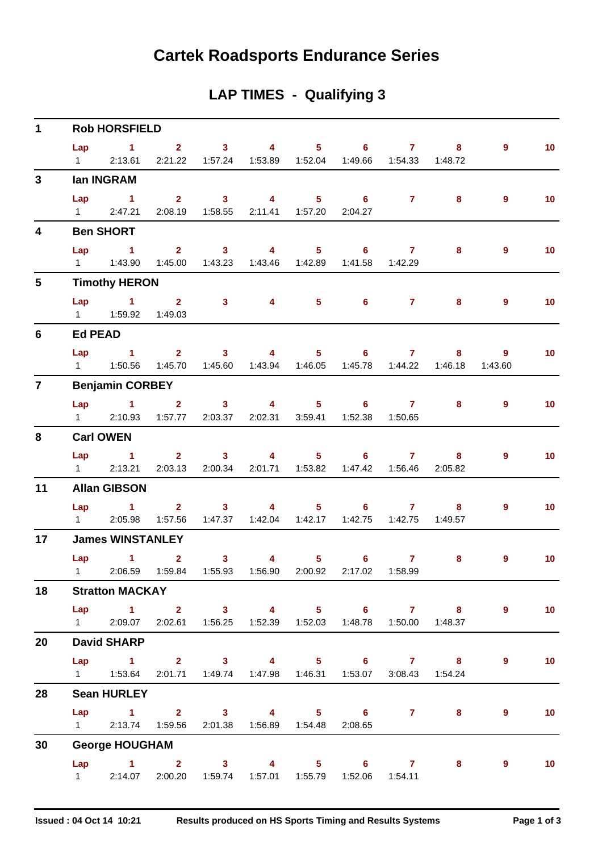## **Cartek Roadsports Endurance Series**

### **LAP TIMES - Qualifying 3**

| $\mathbf{1}$            |                | <b>Rob HORSFIELD</b>                                                                        |                |                                   |                                                               |   |                |                 |
|-------------------------|----------------|---------------------------------------------------------------------------------------------|----------------|-----------------------------------|---------------------------------------------------------------|---|----------------|-----------------|
|                         |                | Lap 1 2 3 4 5 6 7 8                                                                         |                |                                   |                                                               |   | $9^{\circ}$    | 10 <sub>1</sub> |
|                         | $1 \quad \Box$ | 2:13.61                                                                                     |                |                                   | 2:21.22  1:57.24  1:53.89  1:52.04  1:49.66  1:54.33  1:48.72 |   |                |                 |
| 3 <sup>1</sup>          |                | <b>Ian INGRAM</b>                                                                           |                |                                   |                                                               |   |                |                 |
|                         | Lap            | $\sim$ 1                                                                                    |                |                                   | 2 3 4 5 6 7                                                   | 8 | $\overline{9}$ | 10 <sub>1</sub> |
|                         |                | 1 2:47.21 2:08.19 1:58.55 2:11.41 1:57.20 2:04.27                                           |                |                                   |                                                               |   |                |                 |
| $\overline{\mathbf{4}}$ |                | <b>Ben SHORT</b>                                                                            |                |                                   |                                                               |   |                |                 |
|                         |                | $Lap$ 1                                                                                     |                |                                   | 2 3 4 5 6 7                                                   | 8 | $\overline{9}$ | 10 <sub>1</sub> |
|                         |                | 1   1:43.90   1:45.00   1:43.23   1:43.46   1:42.89   1:41.58   1:42.29                     |                |                                   |                                                               |   |                |                 |
| $5\phantom{.0}$         |                | <b>Timothy HERON</b>                                                                        |                |                                   |                                                               |   |                |                 |
|                         |                | Lap 1 2 3 4 5 6 7                                                                           |                |                                   |                                                               | 8 | $\overline{9}$ | 10 <sub>1</sub> |
|                         |                | 1   1:59.92   1:49.03                                                                       |                |                                   |                                                               |   |                |                 |
| 6                       | <b>Ed PEAD</b> |                                                                                             |                |                                   |                                                               |   |                |                 |
|                         |                | Lap 1 2 3 4 5 6 7                                                                           |                |                                   |                                                               |   | 8 9            | 10 <sub>1</sub> |
|                         |                | 1   1:50.56   1:45.70   1:45.60   1:43.94   1:46.05   1:45.78   1:44.22   1:46.18   1:43.60 |                |                                   |                                                               |   |                |                 |
| $\overline{7}$          |                | <b>Benjamin CORBEY</b>                                                                      |                |                                   |                                                               |   |                |                 |
|                         |                | Lap 1 2 3 4 5 6 7                                                                           |                |                                   |                                                               | 8 | 9              | 10 <sub>1</sub> |
|                         |                | 1 2:10.93  1:57.77  2:03.37  2:02.31  3:59.41  1:52.38  1:50.65                             |                |                                   |                                                               |   |                |                 |
| 8                       |                | <b>Carl OWEN</b>                                                                            |                |                                   |                                                               |   |                |                 |
|                         |                | $Lap$ 1                                                                                     |                |                                   | 2 3 4 5 6 7 8                                                 |   | $\overline{9}$ | 10              |
|                         |                | 1 2:13.21 2:03.13 2:00.34 2:01.71 1:53.82 1:47.42 1:56.46 2:05.82                           |                |                                   |                                                               |   |                |                 |
| 11                      |                | <b>Allan GIBSON</b>                                                                         |                |                                   |                                                               |   |                |                 |
|                         |                | Lap 1 2 3 4 5 6 7 8                                                                         |                |                                   |                                                               |   | $\overline{9}$ | 10 <sub>1</sub> |
|                         |                | 1 2:05.98                                                                                   |                |                                   | 1:57.56  1:47.37  1:42.04  1:42.17  1:42.75  1:42.75  1:49.57 |   |                |                 |
| 17 <sub>1</sub>         |                | <b>James WINSTANLEY</b>                                                                     |                |                                   |                                                               |   |                |                 |
|                         |                | Lap $1$ 2                                                                                   | 3 <sup>1</sup> | $\overline{4}$ and $\overline{4}$ | $5 \t\t 6 \t\t 7$                                             | 8 | 9              | 10 <sup>°</sup> |
|                         |                | 1 2:06.59  1:59.84  1:55.93  1:56.90  2:00.92  2:17.02  1:58.99                             |                |                                   |                                                               |   |                |                 |
| 18                      |                | <b>Stratton MACKAY</b>                                                                      |                |                                   |                                                               |   |                |                 |
|                         |                | Lap 1 2 3 4 5 6 7 8                                                                         |                |                                   |                                                               |   | 9              | $\sim$ 10       |
|                         |                | 1 2:09.07 2:02.61 1:56.25 1:52.39 1:52.03 1:48.78 1:50.00 1:48.37                           |                |                                   |                                                               |   |                |                 |
| 20                      |                | <b>David SHARP</b>                                                                          |                |                                   |                                                               |   |                |                 |
|                         |                | Lap 1 2 3 4 5 6 7 8                                                                         |                |                                   |                                                               |   | $\overline{9}$ | 10              |
|                         |                | 1   1:53.64   2:01.71   1:49.74   1:47.98   1:46.31   1:53.07   3:08.43   1:54.24           |                |                                   |                                                               |   |                |                 |
| 28                      |                | <b>Sean HURLEY</b>                                                                          |                |                                   |                                                               |   |                |                 |
|                         |                | Lap 1 2 3 4 5 6 7 8                                                                         |                |                                   |                                                               |   | 9              | 10 <sup>°</sup> |
|                         |                | 1 2:13.74 1:59.56 2:01.38 1:56.89 1:54.48 2:08.65                                           |                |                                   |                                                               |   |                |                 |
| 30                      |                | <b>George HOUGHAM</b>                                                                       |                |                                   |                                                               |   |                |                 |
|                         |                | Lap 1 2 3 4 5 6 7 8 9                                                                       |                |                                   |                                                               |   |                | 10              |
|                         |                | 1 2:14.07 2:00.20 1:59.74 1:57.01 1:55.79 1:52.06 1:54.11                                   |                |                                   |                                                               |   |                |                 |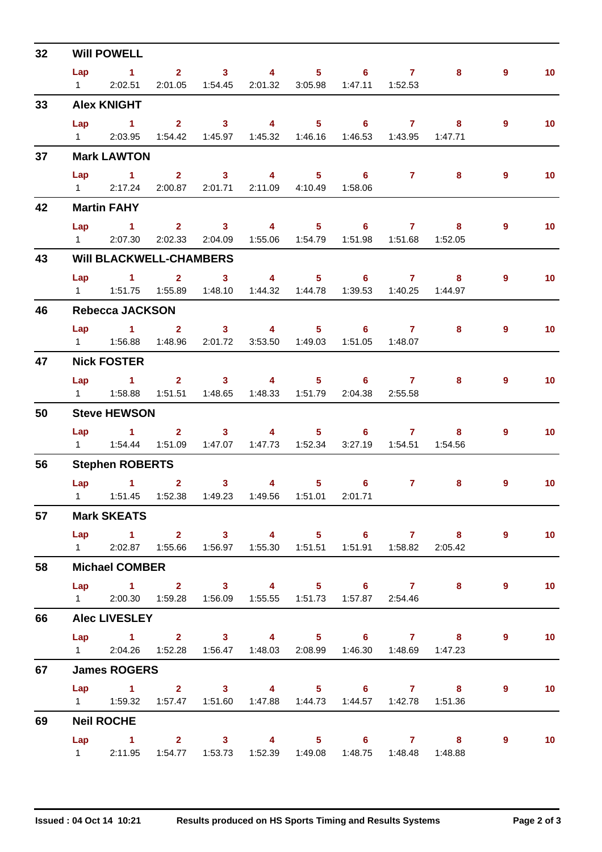| 32 | <b>Will POWELL</b>                                                                |  |                                                         |                                                                          |                                                                                                                                                                                                                                                                                                                                    |                     |                |                 |
|----|-----------------------------------------------------------------------------------|--|---------------------------------------------------------|--------------------------------------------------------------------------|------------------------------------------------------------------------------------------------------------------------------------------------------------------------------------------------------------------------------------------------------------------------------------------------------------------------------------|---------------------|----------------|-----------------|
|    | Lap 1 2 3 4 5 6 7                                                                 |  |                                                         |                                                                          |                                                                                                                                                                                                                                                                                                                                    | 8                   | 9              | 10 <sub>1</sub> |
|    | 1 2:02.51                                                                         |  | 2:01.05  1:54.45  2:01.32  3:05.98  1:47.11  1:52.53    |                                                                          |                                                                                                                                                                                                                                                                                                                                    |                     |                |                 |
| 33 | <b>Alex KNIGHT</b>                                                                |  |                                                         |                                                                          |                                                                                                                                                                                                                                                                                                                                    |                     |                |                 |
|    | Lap 1 2 3 4 5 6 7 8                                                               |  |                                                         |                                                                          |                                                                                                                                                                                                                                                                                                                                    |                     | 9              | 10 <sup>°</sup> |
|    | 1 2:03.95 1:54.42 1:45.97 1:45.32 1:46.16 1:46.53 1:43.95 1:47.71                 |  |                                                         |                                                                          |                                                                                                                                                                                                                                                                                                                                    |                     |                |                 |
| 37 | <b>Mark LAWTON</b>                                                                |  |                                                         |                                                                          |                                                                                                                                                                                                                                                                                                                                    |                     |                |                 |
|    | $Lap$ 1                                                                           |  | 2 3 4 5 6                                               |                                                                          | $7$ 8                                                                                                                                                                                                                                                                                                                              |                     | $9^{\circ}$    | 10 <sub>1</sub> |
|    | 1 2:17.24 2:00.87 2:01.71 2:11.09 4:10.49 1:58.06                                 |  |                                                         |                                                                          |                                                                                                                                                                                                                                                                                                                                    |                     |                |                 |
| 42 | <b>Martin FAHY</b>                                                                |  |                                                         |                                                                          |                                                                                                                                                                                                                                                                                                                                    |                     |                |                 |
|    | Lap 1 2 3 4 5 6 7 8                                                               |  |                                                         |                                                                          |                                                                                                                                                                                                                                                                                                                                    |                     | $9^{\circ}$    | 10 <sup>°</sup> |
|    | 1 2:07.30                                                                         |  | 2:02.33 2:04.09 1:55.06 1:54.79 1:51.98 1:51.68 1:52.05 |                                                                          |                                                                                                                                                                                                                                                                                                                                    |                     |                |                 |
| 43 | <b>WIII BLACKWELL-CHAMBERS</b>                                                    |  |                                                         |                                                                          |                                                                                                                                                                                                                                                                                                                                    |                     |                |                 |
|    | Lap 1 2 3 4 5 6 7 8                                                               |  |                                                         |                                                                          |                                                                                                                                                                                                                                                                                                                                    |                     | $\overline{9}$ | 10 <sub>1</sub> |
|    | 1   1:51.75   1:55.89   1:48.10   1:44.32   1:44.78   1:39.53   1:40.25   1:44.97 |  |                                                         |                                                                          |                                                                                                                                                                                                                                                                                                                                    |                     |                |                 |
| 46 | <b>Rebecca JACKSON</b>                                                            |  |                                                         |                                                                          |                                                                                                                                                                                                                                                                                                                                    |                     |                |                 |
|    |                                                                                   |  |                                                         |                                                                          |                                                                                                                                                                                                                                                                                                                                    | Lap 1 2 3 4 5 6 7 8 | $9^{\circ}$    | 10 <sup>°</sup> |
|    | 1   1:56.88   1:48.96   2:01.72   3:53.50   1:49.03   1:51.05   1:48.07           |  |                                                         |                                                                          |                                                                                                                                                                                                                                                                                                                                    |                     |                |                 |
| 47 | <b>Nick FOSTER</b>                                                                |  |                                                         |                                                                          |                                                                                                                                                                                                                                                                                                                                    |                     |                |                 |
|    | Lap 1 2 3 4 5 6 7                                                                 |  |                                                         |                                                                          |                                                                                                                                                                                                                                                                                                                                    | 8                   | $\overline{9}$ | 10 <sub>1</sub> |
|    | 1   1:58.88   1:51.51   1:48.65   1:48.33   1:51.79   2:04.38   2:55.58           |  |                                                         |                                                                          |                                                                                                                                                                                                                                                                                                                                    |                     |                |                 |
| 50 | <b>Steve HEWSON</b>                                                               |  |                                                         |                                                                          |                                                                                                                                                                                                                                                                                                                                    |                     |                |                 |
|    |                                                                                   |  |                                                         |                                                                          |                                                                                                                                                                                                                                                                                                                                    | Lap 1 2 3 4 5 6 7 8 | 9              | 10 <sup>°</sup> |
|    | 1   1:54.44   1:51.09   1:47.07   1:47.73   1:52.34   3:27.19   1:54.51   1:54.56 |  |                                                         |                                                                          |                                                                                                                                                                                                                                                                                                                                    |                     |                |                 |
| 56 | <b>Stephen ROBERTS</b>                                                            |  |                                                         |                                                                          |                                                                                                                                                                                                                                                                                                                                    |                     |                |                 |
|    | Lap 1 2 3 4 5 6                                                                   |  |                                                         |                                                                          | $\overline{7}$ and $\overline{7}$ and $\overline{7}$ and $\overline{7}$ and $\overline{7}$ and $\overline{7}$ and $\overline{7}$ and $\overline{7}$ and $\overline{7}$ and $\overline{7}$ and $\overline{7}$ and $\overline{7}$ and $\overline{7}$ and $\overline{7}$ and $\overline{7}$ and $\overline{7}$ and $\overline{7}$ and | 8                   | 9              | 10 <sup>°</sup> |
|    | 1   1:51.45   1:52.38   1:49.23   1:49.56   1:51.01   2:01.71                     |  |                                                         |                                                                          |                                                                                                                                                                                                                                                                                                                                    |                     |                |                 |
| 57 | <b>Mark SKEATS</b>                                                                |  |                                                         |                                                                          |                                                                                                                                                                                                                                                                                                                                    |                     |                |                 |
|    |                                                                                   |  |                                                         |                                                                          |                                                                                                                                                                                                                                                                                                                                    | Lap 1 2 3 4 5 6 7 8 |                | $9 \t 10$       |
|    | 1 2:02.87  1:55.66  1:56.97  1:55.30  1:51.51  1:51.91  1:58.82  2:05.42          |  |                                                         |                                                                          |                                                                                                                                                                                                                                                                                                                                    |                     |                |                 |
| 58 | <b>Michael COMBER</b>                                                             |  |                                                         |                                                                          |                                                                                                                                                                                                                                                                                                                                    |                     |                |                 |
|    |                                                                                   |  |                                                         |                                                                          |                                                                                                                                                                                                                                                                                                                                    | Lap 1 2 3 4 5 6 7 8 | 9              | 10              |
|    | 1 2:00.30 1:59.28 1:56.09 1:55.55 1:51.73 1:57.87 2:54.46                         |  |                                                         |                                                                          |                                                                                                                                                                                                                                                                                                                                    |                     |                |                 |
| 66 | <b>Alec LIVESLEY</b>                                                              |  |                                                         |                                                                          |                                                                                                                                                                                                                                                                                                                                    |                     |                |                 |
|    |                                                                                   |  |                                                         |                                                                          |                                                                                                                                                                                                                                                                                                                                    | Lap 1 2 3 4 5 6 7 8 | $\overline{9}$ | 10              |
|    | 1 2:04.26  1:52.28  1:56.47  1:48.03  2:08.99  1:46.30  1:48.69  1:47.23          |  |                                                         |                                                                          |                                                                                                                                                                                                                                                                                                                                    |                     |                |                 |
| 67 | <b>James ROGERS</b>                                                               |  |                                                         |                                                                          |                                                                                                                                                                                                                                                                                                                                    |                     |                |                 |
|    |                                                                                   |  |                                                         |                                                                          |                                                                                                                                                                                                                                                                                                                                    | Lap 1 2 3 4 5 6 7 8 | $9^{\circ}$    | 10              |
|    | 1   1:59.32   1:57.47   1:51.60   1:47.88   1:44.73   1:44.57   1:42.78   1:51.36 |  |                                                         |                                                                          |                                                                                                                                                                                                                                                                                                                                    |                     |                |                 |
| 69 | <b>Neil ROCHE</b>                                                                 |  |                                                         |                                                                          |                                                                                                                                                                                                                                                                                                                                    |                     |                |                 |
|    |                                                                                   |  |                                                         |                                                                          |                                                                                                                                                                                                                                                                                                                                    | Lap 1 2 3 4 5 6 7 8 | $\overline{9}$ | $\sim$ 10       |
|    |                                                                                   |  |                                                         | 1 2:11.95  1:54.77  1:53.73  1:52.39  1:49.08  1:48.75  1:48.48  1:48.88 |                                                                                                                                                                                                                                                                                                                                    |                     |                |                 |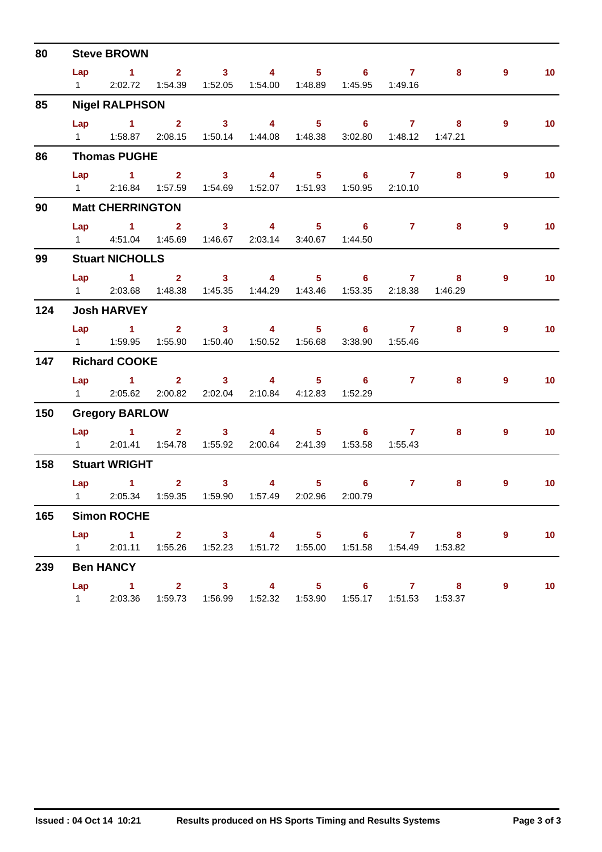| 80  |                               | <b>Steve BROWN</b>                                                                       |          |                                               |                                                                        |                           |                                                                                          |                |                   |
|-----|-------------------------------|------------------------------------------------------------------------------------------|----------|-----------------------------------------------|------------------------------------------------------------------------|---------------------------|------------------------------------------------------------------------------------------|----------------|-------------------|
|     | Lap<br>$1 \quad \blacksquare$ | 1 2 3 4 5 6 7                                                                            |          |                                               | 2:02.72  1:54.39  1:52.05  1:54.00  1:48.89  1:45.95  1:49.16          |                           | 8                                                                                        | $9^{\circ}$    | 10 <sub>1</sub>   |
| 85  |                               | <b>Nigel RALPHSON</b>                                                                    |          |                                               |                                                                        |                           |                                                                                          |                |                   |
|     |                               | Lap 1 2 3 4 5 6 7 8<br>1   1:58.87   2:08.15   1:50.14   1:44.08   1:48.38               |          |                                               |                                                                        | 3:02.80  1:48.12  1:47.21 |                                                                                          | $9^{\circ}$    | 10 <sub>1</sub>   |
| 86  |                               | <b>Thomas PUGHE</b>                                                                      |          |                                               |                                                                        |                           |                                                                                          |                |                   |
|     | Lap                           | $\sim$ 1<br>1 2:16.84  1:57.59  1:54.69  1:52.07  1:51.93  1:50.95  2:10.10              | $2 \t 3$ | $\sim$ 4 and $\sim$ 4 and $\sim$ 4 and $\sim$ | $5 \t\t 6 \t\t 7$                                                      |                           | 8                                                                                        | $\overline{9}$ | 10 <sub>1</sub>   |
| 90  |                               | <b>Matt CHERRINGTON</b>                                                                  |          |                                               |                                                                        |                           |                                                                                          |                |                   |
|     |                               | Lap 1 2 3 4 5 6 7<br>1 4:51.04 1:45.69 1:46.67 2:03.14 3:40.67 1:44.50                   |          |                                               |                                                                        |                           | 8                                                                                        | 9              | 10 <sub>1</sub>   |
| 99  |                               | <b>Stuart NICHOLLS</b>                                                                   |          |                                               |                                                                        |                           |                                                                                          |                |                   |
|     | $1 \qquad \qquad$             | Lap 1 2 3 4 5 6 7                                                                        |          |                                               | 2:03.68  1:48.38  1:45.35  1:44.29  1:43.46  1:53.35  2:18.38  1:46.29 |                           | -8                                                                                       | 9              | 10 <sub>1</sub>   |
| 124 |                               | <b>Josh HARVEY</b>                                                                       |          |                                               |                                                                        |                           |                                                                                          |                |                   |
|     |                               | Lap 1 2 3 4 5 6 7 8                                                                      |          |                                               |                                                                        | 3:38.90  1:55.46          |                                                                                          | $9^{\circ}$    | 10 <sub>1</sub>   |
| 147 |                               | <b>Richard COOKE</b>                                                                     |          |                                               |                                                                        |                           |                                                                                          |                |                   |
|     |                               | $Lap = 1$<br>1 2:05.62 2:00.82 2:02.04 2:10.84 4:12.83                                   |          | $2 \qquad 3 \qquad 4$                         | $5 - 5$<br>6<br>1:52.29                                                | $7 \t 8$                  |                                                                                          | 9              | 10 <sub>1</sub>   |
| 150 |                               | <b>Gregory BARLOW</b>                                                                    |          |                                               |                                                                        |                           |                                                                                          |                |                   |
|     |                               | Lap 1 2 3 4 5 6 7<br>1 2:01.41  1:54.78  1:55.92  2:00.64  2:41.39  1:53.58  1:55.43     |          |                                               |                                                                        |                           | 8                                                                                        | $9^{\circ}$    | 10 <sup>°</sup>   |
| 158 |                               | <b>Stuart WRIGHT</b>                                                                     |          |                                               |                                                                        |                           |                                                                                          |                |                   |
|     |                               | Lap 1<br>1 2:05.34 1:59.35 1:59.90 1:57.49 2:02.96 2:00.79                               |          | $2 \qquad 3 \qquad 4 \qquad 5 \qquad 6$       |                                                                        | $\overline{7}$            | 8                                                                                        | 9              | 10 <sub>1</sub>   |
| 165 |                               | <b>Simon ROCHE</b>                                                                       |          |                                               |                                                                        |                           |                                                                                          |                |                   |
|     |                               |                                                                                          |          |                                               |                                                                        |                           | Lap 1 2 3 4 5 6 7 8<br>1 2:01.11 1:55.26 1:52.23 1:51.72 1:55.00 1:51.58 1:54.49 1:53.82 | $9^{\circ}$    | $\blacksquare$ 10 |
| 239 |                               | <b>Ben HANCY</b>                                                                         |          |                                               |                                                                        |                           |                                                                                          |                |                   |
|     |                               | Lap 1 2 3 4 5 6 7 8<br>1 2:03.36 1:59.73 1:56.99 1:52.32 1:53.90 1:55.17 1:51.53 1:53.37 |          |                                               |                                                                        |                           |                                                                                          | 9              | 10                |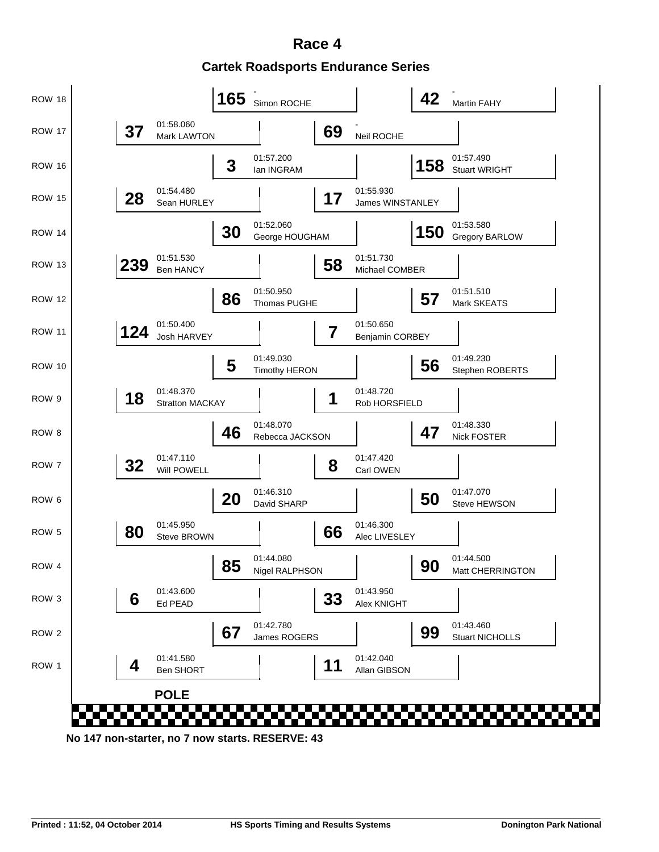**Cartek Roadsports Endurance Series Race 4**

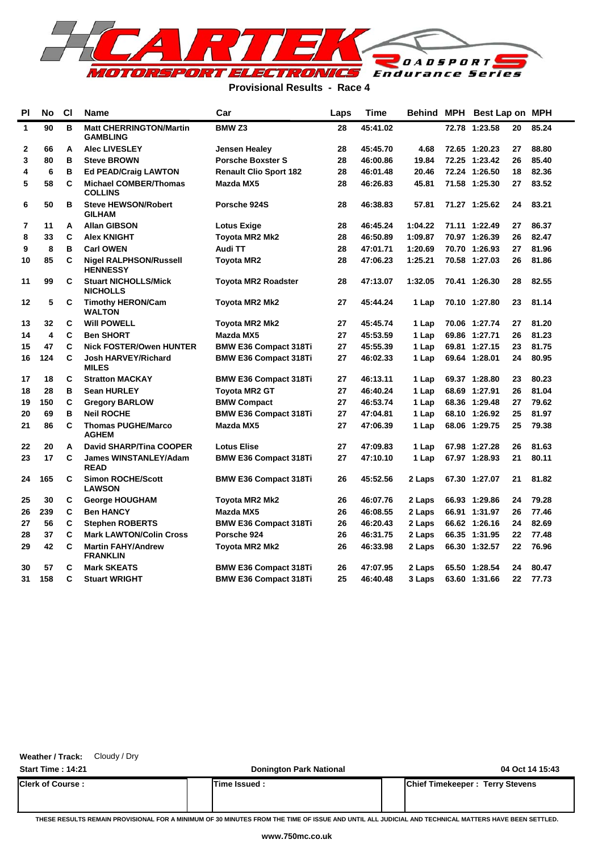

### **Provisional Results - Race 4**

| <b>PI</b> | No                      | <b>CI</b> | <b>Name</b>                                       | Car                           | Laps | Time     | <b>Behind</b> | MPH   | Best Lap on MPH |    |       |
|-----------|-------------------------|-----------|---------------------------------------------------|-------------------------------|------|----------|---------------|-------|-----------------|----|-------|
| 1         | 90                      | в         | <b>Matt CHERRINGTON/Martin</b><br><b>GAMBLING</b> | <b>BMW Z3</b>                 | 28   | 45:41.02 |               | 72.78 | 1:23.58         | 20 | 85.24 |
| 2         | 66                      | A         | <b>Alec LIVESLEY</b>                              | <b>Jensen Healey</b>          | 28   | 45:45.70 | 4.68          |       | 72.65 1:20.23   | 27 | 88.80 |
| 3         | 80                      | B         | <b>Steve BROWN</b>                                | <b>Porsche Boxster S</b>      | 28   | 46:00.86 | 19.84         |       | 72.25 1:23.42   | 26 | 85.40 |
| 4         | 6                       | B         | <b>Ed PEAD/Craig LAWTON</b>                       | <b>Renault Clio Sport 182</b> | 28   | 46:01.48 | 20.46         |       | 72.24 1:26.50   | 18 | 82.36 |
| 5         | 58                      | C         | <b>Michael COMBER/Thomas</b><br><b>COLLINS</b>    | Mazda MX5                     | 28   | 46:26.83 | 45.81         |       | 71.58 1:25.30   | 27 | 83.52 |
| 6         | 50                      | в         | <b>Steve HEWSON/Robert</b><br><b>GILHAM</b>       | Porsche 924S                  | 28   | 46:38.83 | 57.81         |       | 71.27 1:25.62   | 24 | 83.21 |
| 7         | 11                      | A         | <b>Allan GIBSON</b>                               | <b>Lotus Exige</b>            | 28   | 46:45.24 | 1:04.22       |       | 71.11 1:22.49   | 27 | 86.37 |
| 8         | 33                      | C         | <b>Alex KNIGHT</b>                                | Toyota MR2 Mk2                | 28   | 46:50.89 | 1:09.87       |       | 70.97 1:26.39   | 26 | 82.47 |
| 9         | 8                       | B         | <b>Carl OWEN</b>                                  | Audi TT                       | 28   | 47:01.71 | 1:20.69       |       | 70.70 1:26.93   | 27 | 81.96 |
| 10        | 85                      | C         | <b>Nigel RALPHSON/Russell</b><br><b>HENNESSY</b>  | <b>Toyota MR2</b>             | 28   | 47:06.23 | 1:25.21       |       | 70.58 1:27.03   | 26 | 81.86 |
| 11        | 99                      | C         | <b>Stuart NICHOLLS/Mick</b><br><b>NICHOLLS</b>    | <b>Toyota MR2 Roadster</b>    | 28   | 47:13.07 | 1:32.05       |       | 70.41 1:26.30   | 28 | 82.55 |
| 12        | 5                       | C         | <b>Timothy HERON/Cam</b><br><b>WALTON</b>         | Toyota MR2 Mk2                | 27   | 45:44.24 | 1 Lap         |       | 70.10 1:27.80   | 23 | 81.14 |
| 13        | 32                      | C         | <b>Will POWELL</b>                                | Toyota MR2 Mk2                | 27   | 45:45.74 | 1 Lap         |       | 70.06 1:27.74   | 27 | 81.20 |
| 14        | $\overline{\mathbf{4}}$ | C         | <b>Ben SHORT</b>                                  | Mazda MX5                     | 27   | 45:53.59 | 1 Lap         |       | 69.86 1:27.71   | 26 | 81.23 |
| 15        | 47                      | C         | <b>Nick FOSTER/Owen HUNTER</b>                    | <b>BMW E36 Compact 318Ti</b>  | 27   | 45:55.39 | 1 Lap         |       | 69.81 1:27.15   | 23 | 81.75 |
| 16        | 124                     | C         | <b>Josh HARVEY/Richard</b><br><b>MILES</b>        | <b>BMW E36 Compact 318Ti</b>  | 27   | 46:02.33 | 1 Lap         |       | 69.64 1:28.01   | 24 | 80.95 |
| 17        | 18                      | C         | <b>Stratton MACKAY</b>                            | <b>BMW E36 Compact 318Ti</b>  | 27   | 46:13.11 | 1 Lap         |       | 69.37 1:28.80   | 23 | 80.23 |
| 18        | 28                      | B         | <b>Sean HURLEY</b>                                | <b>Toyota MR2 GT</b>          | 27   | 46:40.24 | 1 Lap         |       | 68.69 1:27.91   | 26 | 81.04 |
| 19        | 150                     | C         | <b>Gregory BARLOW</b>                             | <b>BMW Compact</b>            | 27   | 46:53.74 | 1 Lap         |       | 68.36 1:29.48   | 27 | 79.62 |
| 20        | 69                      | в         | <b>Neil ROCHE</b>                                 | <b>BMW E36 Compact 318Ti</b>  | 27   | 47:04.81 | 1 Lap         |       | 68.10 1:26.92   | 25 | 81.97 |
| 21        | 86                      | C         | <b>Thomas PUGHE/Marco</b><br><b>AGHEM</b>         | Mazda MX5                     | 27   | 47:06.39 | 1 Lap         |       | 68.06 1:29.75   | 25 | 79.38 |
| 22        | 20                      | A         | <b>David SHARP/Tina COOPER</b>                    | <b>Lotus Elise</b>            | 27   | 47:09.83 | 1 Lap         |       | 67.98 1:27.28   | 26 | 81.63 |
| 23        | 17                      | C         | <b>James WINSTANLEY/Adam</b><br><b>READ</b>       | <b>BMW E36 Compact 318Ti</b>  | 27   | 47:10.10 | 1 Lap         |       | 67.97 1:28.93   | 21 | 80.11 |
| 24        | 165                     | C         | <b>Simon ROCHE/Scott</b><br><b>LAWSON</b>         | <b>BMW E36 Compact 318Ti</b>  | 26   | 45:52.56 | 2 Laps        |       | 67.30 1:27.07   | 21 | 81.82 |
| 25        | 30                      | C         | <b>George HOUGHAM</b>                             | Toyota MR2 Mk2                | 26   | 46:07.76 | 2 Laps        |       | 66.93 1:29.86   | 24 | 79.28 |
| 26        | 239                     | C         | <b>Ben HANCY</b>                                  | Mazda MX5                     | 26   | 46:08.55 | 2 Laps        |       | 66.91 1:31.97   | 26 | 77.46 |
| 27        | 56                      | C         | <b>Stephen ROBERTS</b>                            | <b>BMW E36 Compact 318Ti</b>  | 26   | 46:20.43 | 2 Laps        |       | 66.62 1:26.16   | 24 | 82.69 |
| 28        | 37                      | C         | <b>Mark LAWTON/Colin Cross</b>                    | Porsche 924                   | 26   | 46:31.75 | 2 Laps        |       | 66.35 1:31.95   | 22 | 77.48 |
| 29        | 42                      | C         | <b>Martin FAHY/Andrew</b><br><b>FRANKLIN</b>      | Toyota MR2 Mk2                | 26   | 46:33.98 | 2 Laps        |       | 66.30 1:32.57   | 22 | 76.96 |
| 30        | 57                      | C         | <b>Mark SKEATS</b>                                | <b>BMW E36 Compact 318Ti</b>  | 26   | 47:07.95 | 2 Laps        |       | 65.50 1:28.54   | 24 | 80.47 |
| 31        | 158                     | C         | <b>Stuart WRIGHT</b>                              | <b>BMW E36 Compact 318Ti</b>  | 25   | 46:40.48 | 3 Laps        |       | 63.60 1:31.66   | 22 | 77.73 |
|           |                         |           |                                                   |                               |      |          |               |       |                 |    |       |

**Weather / Track:** Cloudy / Dry

**Start Time : 14:21 Donington Park National 04 Oct 14 15:43 Clerk of Course : Time Issued : Chief Timekeeper : Terry Stevens**

**THESE RESULTS REMAIN PROVISIONAL FOR A MINIMUM OF 30 MINUTES FROM THE TIME OF ISSUE AND UNTIL ALL JUDICIAL AND TECHNICAL MATTERS HAVE BEEN SETTLED.**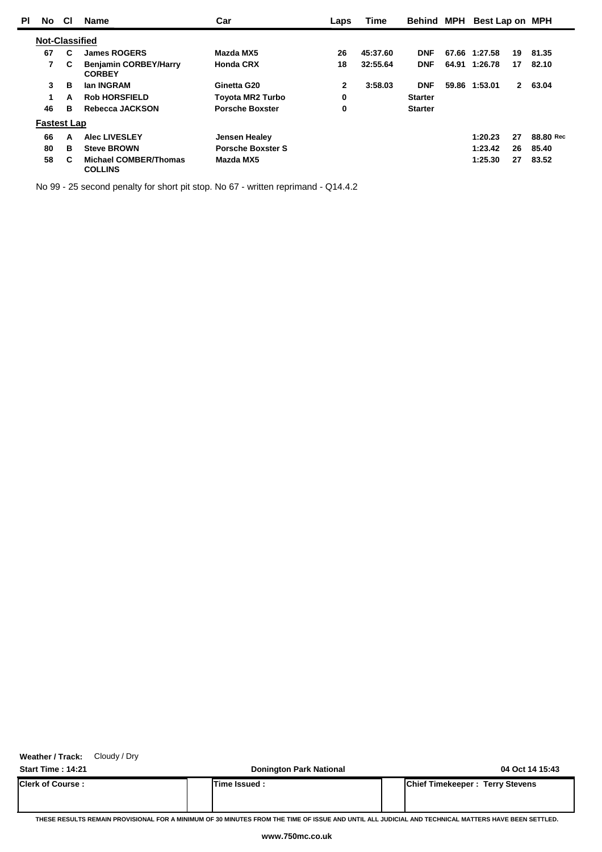| PI | No                    | <b>CI</b> | <b>Name</b>                                    | Car                      | Laps | <b>Time</b> | Behind         | <b>MPH</b> | Best Lap on MPH |              |           |
|----|-----------------------|-----------|------------------------------------------------|--------------------------|------|-------------|----------------|------------|-----------------|--------------|-----------|
|    | <b>Not-Classified</b> |           |                                                |                          |      |             |                |            |                 |              |           |
|    | 67                    | C         | <b>James ROGERS</b>                            | Mazda MX5                | 26   | 45:37.60    | <b>DNF</b>     |            | 67.66 1:27.58   | 19           | 81.35     |
|    | 7                     | C         | <b>Benjamin CORBEY/Harry</b><br><b>CORBEY</b>  | <b>Honda CRX</b>         | 18   | 32:55.64    | <b>DNF</b>     |            | 64.91 1:26.78   | 17           | 82.10     |
|    | 3                     | в         | lan INGRAM                                     | Ginetta G20              | 2    | 3:58.03     | <b>DNF</b>     |            | 59.86 1:53.01   | $\mathbf{2}$ | 63.04     |
|    | 1.                    | A         | <b>Rob HORSFIELD</b>                           | <b>Toyota MR2 Turbo</b>  | 0    |             | <b>Starter</b> |            |                 |              |           |
|    | 46                    | в         | Rebecca JACKSON                                | <b>Porsche Boxster</b>   | 0    |             | <b>Starter</b> |            |                 |              |           |
|    | <b>Fastest Lap</b>    |           |                                                |                          |      |             |                |            |                 |              |           |
|    | 66                    | A         | <b>Alec LIVESLEY</b>                           | <b>Jensen Healey</b>     |      |             |                |            | 1:20.23         | 27           | 88.80 Rec |
|    | 80                    | в         | <b>Steve BROWN</b>                             | <b>Porsche Boxster S</b> |      |             |                |            | 1:23.42         | 26           | 85.40     |
|    | 58                    | C         | <b>Michael COMBER/Thomas</b><br><b>COLLINS</b> | Mazda MX5                |      |             |                |            | 1:25.30         | 27           | 83.52     |

No 99 - 25 second penalty for short pit stop. No 67 - written reprimand - Q14.4.2

**Weather / Track:** Cloudy / Dry

**Start Time : 14:21 Donington Park National 04 Oct 14 15:43 Clerk of Course : Time Issued : Chief Timekeeper : Terry Stevens**

**THESE RESULTS REMAIN PROVISIONAL FOR A MINIMUM OF 30 MINUTES FROM THE TIME OF ISSUE AND UNTIL ALL JUDICIAL AND TECHNICAL MATTERS HAVE BEEN SETTLED.**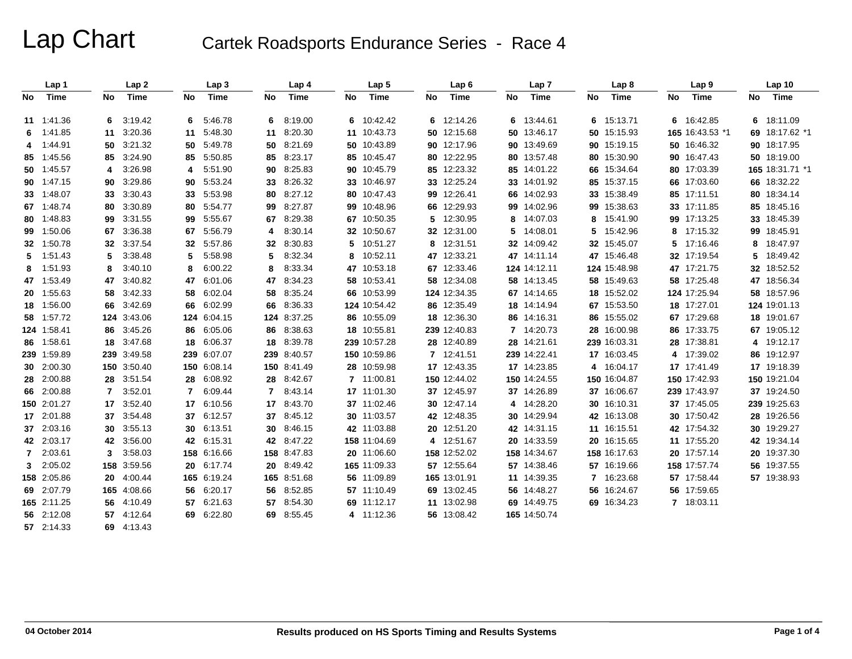## Lap Chart Cartek Roadsports Endurance Series - Race 4

|                | Lap 1       |    | Lap <sub>2</sub> |    | Lap <sub>3</sub> |                | Lap 4      |     | Lap <sub>5</sub> |    | Lap <sub>6</sub> |    | Lap <sub>7</sub> |    | Lap 8        |    | Lap <sub>9</sub> |    | Lap 10          |
|----------------|-------------|----|------------------|----|------------------|----------------|------------|-----|------------------|----|------------------|----|------------------|----|--------------|----|------------------|----|-----------------|
| No             | Time        | No | <b>Time</b>      | No | Time             | No             | Time       | No. | <b>Time</b>      | No | Time             | No | Time             | No | <b>Time</b>  | No | Time             | No | Time            |
|                | 11 1:41.36  | 6  | 3:19.42          | 6  | 5:46.78          | 6              | 8:19.00    |     | 6 10:42.42       |    | 6 12:14.26       | 6  | 13:44.61         | 6  | 15:13.71     |    | 6 16:42.85       |    | 6 18:11.09      |
|                | 6 1:41.85   | 11 | 3:20.36          | 11 | 5:48.30          | 11             | 8:20.30    |     | 11 10:43.73      |    | 50 12:15.68      |    | 50 13:46.17      |    | 50 15:15.93  |    | 165 16:43.53 *1  |    | 69 18:17.62 *1  |
|                | 4 1:44.91   |    | 50 3:21.32       | 50 | 5:49.78          | 50             | 8:21.69    |     | 50 10:43.89      |    | 90 12:17.96      |    | 90 13:49.69      |    | 90 15:19.15  |    | 50 16:46.32      |    | 90 18:17.95     |
|                | 85 1:45.56  |    | 85 3:24.90       | 85 | 5:50.85          | 85             | 8:23.17    |     | 85 10:45.47      |    | 80 12:22.95      |    | 80 13:57.48      |    | 80 15:30.90  |    | 90 16:47.43      |    | 50 18:19.00     |
|                | 50 1:45.57  | 4  | 3:26.98          | 4  | 5:51.90          | 90             | 8:25.83    |     | 90 10:45.79      |    | 85 12:23.32      |    | 85 14:01.22      |    | 66 15:34.64  |    | 80 17:03.39      |    | 165 18:31.71 *1 |
|                | 90 1:47.15  |    | 90 3:29.86       | 90 | 5:53.24          | 33             | 8:26.32    |     | 33 10:46.97      |    | 33 12:25.24      |    | 33 14:01.92      |    | 85 15:37.15  |    | 66 17:03.60      |    | 66 18:32.22     |
|                | 33 1:48.07  |    | 33 3:30.43       | 33 | 5:53.98          | 80             | 8:27.12    |     | 80 10:47.43      |    | 99 12:26.41      |    | 66 14:02.93      |    | 33 15:38.49  |    | 85 17:11.51      |    | 80 18:34.14     |
|                | 67 1:48.74  |    | 80 3:30.89       | 80 | 5:54.77          | 99             | 8:27.87    |     | 99 10:48.96      |    | 66 12:29.93      |    | 99 14:02.96      |    | 99 15:38.63  |    | 33 17:11.85      |    | 85 18:45.16     |
|                | 80 1:48.83  |    | 99 3:31.55       | 99 | 5:55.67          | 67             | 8:29.38    |     | 67 10:50.35      |    | 5 12:30.95       | 8  | 14:07.03         | 8  | 15:41.90     |    | 99 17:13.25      |    | 33 18:45.39     |
|                | 99 1:50.06  |    | 67 3:36.38       | 67 | 5:56.79          | 4              | 8:30.14    |     | 32 10:50.67      |    | 32 12:31.00      |    | 5 14:08.01       | 5. | 15:42.96     | 8  | 17:15.32         |    | 99 18:45.91     |
|                | 32 1:50.78  |    | 32 3:37.54       | 32 | 5:57.86          | 32             | 8:30.83    |     | 5 10:51.27       |    | 8 12:31.51       |    | 32 14:09.42      |    | 32 15:45.07  | 5  | 17:16.46         |    | 8 18:47.97      |
|                | 5 1:51.43   | 5. | 3:38.48          | 5  | 5:58.98          | 5              | 8:32.34    |     | 8 10:52.11       |    | 47 12:33.21      |    | 47 14:11.14      |    | 47 15:46.48  |    | 32 17:19.54      |    | 5 18:49.42      |
| 8              | 1:51.93     | 8  | 3:40.10          | 8  | 6:00.22          | 8              | 8:33.34    |     | 47 10:53.18      |    | 67 12:33.46      |    | 124 14:12.11     |    | 124 15:48.98 |    | 47 17:21.75      |    | 32 18:52.52     |
|                | 47 1:53.49  | 47 | 3:40.82          | 47 | 6:01.06          | 47             | 8:34.23    |     | 58 10:53.41      |    | 58 12:34.08      |    | 58 14:13.45      |    | 58 15:49.63  |    | 58 17:25.48      |    | 47 18:56.34     |
|                | 20 1:55.63  |    | 58 3:42.33       | 58 | 6:02.04          | 58             | 8:35.24    |     | 66 10:53.99      |    | 124 12:34.35     |    | 67 14:14.65      |    | 18 15:52.02  |    | 124 17:25.94     |    | 58 18:57.96     |
|                | 18 1:56.00  |    | 66 3:42.69       | 66 | 6:02.99          | 66             | 8:36.33    |     | 124 10:54.42     |    | 86 12:35.49      |    | 18 14:14.94      |    | 67 15:53.50  |    | 18 17:27.01      |    | 124 19:01.13    |
|                | 58 1:57.72  |    | 124 3:43.06      |    | 124 6:04.15      | 124            | 8:37.25    |     | 86 10:55.09      |    | 18 12:36.30      |    | 86 14:16.31      |    | 86 15:55.02  |    | 67 17:29.68      |    | 18 19:01.67     |
|                | 124 1:58.41 |    | 86 3:45.26       | 86 | 6:05.06          | 86             | 8:38.63    |     | 18 10:55.81      |    | 239 12:40.83     |    | 7 14:20.73       |    | 28 16:00.98  |    | 86 17:33.75      |    | 67 19:05.12     |
|                | 86 1:58.61  |    | 18 3:47.68       | 18 | 6:06.37          | 18             | 8:39.78    |     | 239 10:57.28     |    | 28 12:40.89      |    | 28 14:21.61      |    | 239 16:03.31 |    | 28 17:38.81      |    | 4 19:12.17      |
|                | 239 1:59.89 |    | 239 3:49.58      |    | 239 6:07.07      | 239            | 8:40.57    |     | 150 10:59.86     |    | 7 12:41.51       |    | 239 14:22.41     |    | 17 16:03.45  | 4  | 17:39.02         |    | 86 19:12.97     |
|                | 30 2:00.30  |    | 150 3:50.40      |    | 150 6:08.14      | 150            | 8:41.49    |     | 28 10:59.98      |    | 17 12:43.35      |    | 17 14:23.85      | 4  | 16:04.17     |    | 17 17:41.49      |    | 17 19:18.39     |
|                | 28 2:00.88  |    | 28 3:51.54       | 28 | 6:08.92          | 28             | 8:42.67    |     | 7 11:00.81       |    | 150 12:44.02     |    | 150 14:24.55     |    | 150 16:04.87 |    | 150 17:42.93     |    | 150 19:21.04    |
|                | 66 2:00.88  | 7  | 3:52.01          | 7  | 6:09.44          | $\overline{7}$ | 8:43.14    |     | 17 11:01.30      |    | 37 12:45.97      |    | 37 14:26.89      |    | 37 16:06.67  |    | 239 17:43.97     |    | 37 19:24.50     |
|                | 150 2:01.27 |    | 17 3:52.40       | 17 | 6:10.56          | 17             | 8:43.70    |     | 37 11:02.46      |    | 30 12:47.14      |    | 4 14:28.20       |    | 30 16:10.31  |    | 37 17:45.05      |    | 239 19:25.63    |
|                | 17 2:01.88  |    | 37 3:54.48       | 37 | 6:12.57          | 37             | 8:45.12    |     | 30 11:03.57      |    | 42 12:48.35      |    | 30 14:29.94      |    | 42 16:13.08  |    | 30 17:50.42      |    | 28 19:26.56     |
|                | 37 2:03.16  |    | 30 3:55.13       | 30 | 6:13.51          | 30             | 8:46.15    |     | 42 11:03.88      |    | 20 12:51.20      |    | 42 14:31.15      |    | 11 16:15.51  |    | 42 17:54.32      |    | 30 19:29.27     |
|                | 42 2:03.17  |    | 42 3:56.00       |    | 42 6:15.31       | 42             | 8:47.22    |     | 158 11:04.69     |    | 4 12:51.67       |    | 20 14:33.59      |    | 20 16:15.65  |    | 11 17:55.20      |    | 42 19:34.14     |
|                | 7 2:03.61   | 3  | 3:58.03          |    | 158 6:16.66      | 158            | 8:47.83    |     | 20 11:06.60      |    | 158 12:52.02     |    | 158 14:34.67     |    | 158 16:17.63 |    | 20 17:57.14      |    | 20 19:37.30     |
| 3 <sup>1</sup> | 2:05.02     |    | 158 3:59.56      | 20 | 6:17.74          | 20             | 8:49.42    |     | 165 11:09.33     |    | 57 12:55.64      |    | 57 14:38.46      |    | 57 16:19.66  |    | 158 17:57.74     |    | 56 19:37.55     |
|                | 158 2:05.86 |    | 20 4:00.44       |    | 165 6:19.24      | 165            | 8:51.68    |     | 56 11:09.89      |    | 165 13:01.91     |    | 11 14:39.35      |    | 7 16:23.68   |    | 57 17:58.44      |    | 57 19:38.93     |
|                | 69 2:07.79  |    | 165 4:08.66      | 56 | 6:20.17          | 56             | 8:52.85    |     | 57 11:10.49      |    | 69 13:02.45      |    | 56 14:48.27      |    | 56 16:24.67  |    | 56 17:59.65      |    |                 |
|                | 165 2:11.25 |    | 56 4:10.49       |    | 57 6:21.63       | 57             | 8:54.30    |     | 69 11:12.17      |    | 11 13:02.98      |    | 69 14:49.75      |    | 69 16:34.23  |    | 7 18:03.11       |    |                 |
|                | 56 2:12.08  |    | 57 4:12.64       |    | 69 6:22.80       |                | 69 8:55.45 |     | 4 11:12.36       |    | 56 13:08.42      |    | 165 14:50.74     |    |              |    |                  |    |                 |
|                | 57 2:14.33  |    | 69 4:13.43       |    |                  |                |            |     |                  |    |                  |    |                  |    |              |    |                  |    |                 |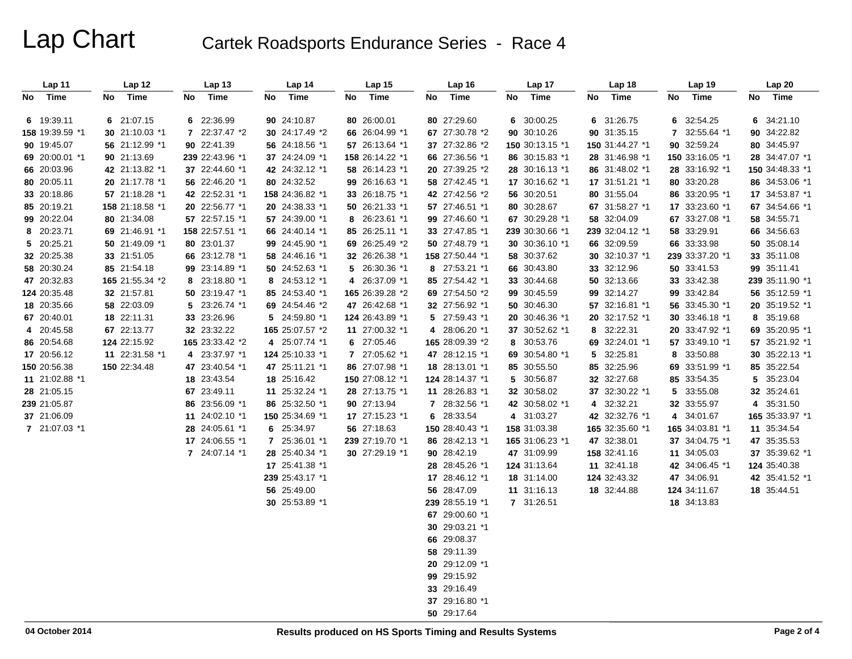## Lap Chart Cartek Roadsports Endurance Series - Race 4

| Lap 11          | Lap 12          | <b>Lap 13</b>   | Lap 14          | Lap <sub>15</sub> | Lap <sub>16</sub> | Lap 17          | Lap 18          | Lap 19            | Lap20           |
|-----------------|-----------------|-----------------|-----------------|-------------------|-------------------|-----------------|-----------------|-------------------|-----------------|
| No Time         | Time<br>No      | Time<br>No      | Time<br>No      | Time<br>No        | Time<br>No        | Time<br>No      | Time<br>No      | Time<br>No        | Time<br>No      |
|                 |                 |                 |                 |                   |                   |                 |                 |                   |                 |
| 6 19:39.11      | 6 21:07.15      | 6 22:36.99      | 90 24:10.87     | 80 26:00.01       | 80 27:29.60       | 6 30:00.25      | 6 31:26.75      | 32:54.25<br>6     | 6 34:21.10      |
| 158 19:39.59 *1 | 30 21:10.03 *1  | 7 22:37.47 *2   | 30 24:17.49 *2  | 66 26:04.99 *1    | 67 27:30.78 *2    | 90 30:10.26     | 90 31:35.15     | 7 32:55.64 *1     | 90 34:22.82     |
| 90 19:45.07     | 56 21:12.99 *1  | 90 22:41.39     | 56 24:18.56 *1  | 57 26:13.64 *1    | 37 27:32.86 *2    | 150 30:13.15 *1 | 150 31:44.27 *1 | 90 32:59.24       | 80 34:45.97     |
| 69 20:00.01 *1  | 90 21:13.69     | 239 22:43.96 *1 | 37 24:24.09 *1  | 158 26:14.22 *1   | 66 27:36.56 *1    | 86 30:15.83 *1  | 28 31:46.98 *1  | 150 33:16.05 *1   | 28 34:47.07 *1  |
| 66 20:03.96     | 42 21:13.82 *1  | 37 22:44.60 *1  | 42 24:32.12 *1  | 58 26:14.23 *1    | 20 27:39.25 *2    | 28 30:16.13 *1  | 86 31:48.02 *1  | 28 33:16.92 *1    | 150 34:48.33 *1 |
| 80 20:05.11     | 20 21:17.78 *1  | 56 22:46.20 *1  | 80 24:32.52     | 99 26:16.63 *1    | 58 27:42.45 *1    | 17 30:16.62 *1  | 17 31:51.21 *1  | 80 33:20.28       | 86 34:53.06 *1  |
| 33 20:18.86     | 57 21:18.28 *1  | 42 22:52.31 *1  | 158 24:36.82 *1 | 33 26:18.75 *1    | 42 27:42.56 *2    | 56 30:20.51     | 80 31:55.04     | 86 33:20.95 *1    | 17 34:53.87 *1  |
| 85 20:19.21     | 158 21:18.58 *1 | 20 22:56.77 *1  | 20 24:38.33 *1  | 50 26:21.33 *1    | 57 27:46.51 *1    | 80 30:28.67     | 67 31:58.27 *1  | 17 33:23.60 *1    | 67 34:54.66 *1  |
| 99 20:22.04     | 80 21:34.08     | 57 22:57.15 *1  | 57 24:39.00 *1  | 8 26:23.61 *1     | 99 27:46.60 *1    | 67 30:29.28 *1  | 58 32:04.09     | 67 33:27.08 *1    | 58 34:55.71     |
| 8 20:23.71      | 69 21:46.91 *1  | 158 22:57.51 *1 | 66 24:40.14 *1  | 85 26:25.11 *1    | 33 27:47.85 *1    | 239 30:30.66 *1 | 239 32:04.12 *1 | 58 33:29.91       | 66 34:56.63     |
| 5 20:25.21      | 50 21:49.09 *1  | 80 23:01.37     | 99 24:45.90 *1  | 69 26:25.49 *2    | 50 27:48.79 *1    | 30 30:36.10 *1  | 66 32:09.59     | 66 33:33.98       | 50 35:08.14     |
| 32 20:25.38     | 33 21:51.05     | 66 23:12.78 *1  | 58 24:46.16 *1  | 32 26:26.38 *1    | 158 27:50.44 *1   | 58 30:37.62     | 30 32:10.37 *1  | 239 33:37.20 *1   | 33 35:11.08     |
| 58 20:30.24     | 85 21:54.18     | 99 23:14.89 *1  | 50 24:52.63 *1  | 5 26:30.36 *1     | 8 27:53.21 *1     | 66 30:43.80     | 33 32:12.96     | 50 33:41.53       | 99 35:11.41     |
| 47 20:32.83     | 165 21:55.34 *2 | 8 23:18.80 *1   | 8 24:53.12 *1   | 4 26:37.09 *1     | 85 27:54.42 *1    | 33 30:44.68     | 50 32:13.66     | 33 33:42.38       | 239 35:11.90 *1 |
| 124 20:35.48    | 32 21:57.81     | 50 23:19.47 *1  | 85 24:53.40 *1  | 165 26:39.28 *2   | 69 27:54.50 *2    | 99 30:45.59     | 99 32:14.27     | 99 33:42.84       | 56 35:12.59 *1  |
| 18 20:35.66     | 58 22:03.09     | 5 23:26.74 *1   | 69 24:54.46 *2  | 47 26:42.68 *1    | 32 27:56.92 *1    | 50 30:46.30     | 57 32:16.81 *1  | 56 33:45.30 *1    | 20 35:19.52 *1  |
| 67 20:40.01     | 18 22:11.31     | 33 23:26.96     | 5 24:59.80 *1   | 124 26:43.89 *1   | 5 27:59.43 *1     | 20 30:46.36 *1  | 20 32:17.52 *1  | 30 33:46.18 *1    | 8 35:19.68      |
| 4 20:45.58      | 67 22:13.77     | 32 23:32.22     | 165 25:07.57 *2 | 11 27:00.32 *1    | 4 28:06.20 *1     | 37 30:52.62 *1  | 8 32:22.31      | 20 33:47.92 *1    | 69 35:20.95 *1  |
| 86 20:54.68     | 124 22:15.92    | 165 23:33.42 *2 | 4 25:07.74 *1   | 6 27:05.46        | 165 28:09.39 *2   | 8 30:53.76      | 69 32:24.01 *1  | 57 33:49.10 *1    | 57 35:21.92 *1  |
| 17 20:56.12     | 11 22:31.58 *1  | 4 23:37.97 *1   | 124 25:10.33 *1 | 7 27:05.62 *1     | 47 28:12.15 *1    | 69 30:54.80 *1  | 5 32:25.81      | 33:50.88<br>8     | 30 35:22.13 *1  |
| 150 20:56.38    | 150 22:34.48    | 47 23:40.54 *1  | 47 25:11.21 *1  | 86 27:07.98 *1    | 18 28:13.01 *1    | 85 30:55.50     | 85 32:25.96     | 33:51.99 *1<br>69 | 85 35:22.54     |
| 11 21:02.88 *1  |                 | 18 23:43.54     | 18 25:16.42     | 150 27:08.12 *1   | 124 28:14.37 *1   | 5 30:56.87      | 32 32:27.68     | 85 33:54.35       | 5 35:23.04      |
| 28 21:05.15     |                 | 67 23:49.11     | 11 25:32.24 *1  | 28 27:13.75 *1    | 11 28:26.83 *1    | 32 30:58.02     | 37 32:30.22 *1  | 33:55.08<br>5     | 32 35:24.61     |
| 239 21:05.87    |                 | 86 23:56.09 *1  | 86 25:32.50 *1  | 90 27:13.94       | 7 28:32.56 *1     | 42 30:58.02 *1  | 4 32:32.21      | 32 33:55.97       | 4 35:31.50      |
| 37 21:06.09     |                 | 11 24:02.10 *1  | 150 25:34.69 *1 | 17 27:15.23 *1    | 6 28:33.54        | 4 31:03.27      | 42 32:32.76 *1  | 34:01.67<br>4     | 165 35:33.97 *1 |
| 7 21:07.03 *1   |                 | 28 24:05.61 *1  | 6 25:34.97      | 56 27:18.63       | 150 28:40.43 *1   | 158 31:03.38    | 165 32:35.60 *1 | 165 34:03.81 *1   | 11 35:34.54     |
|                 |                 | 17 24:06.55 *1  | 7 25:36.01 *1   | 239 27:19.70 *1   | 86 28:42.13 *1    | 165 31:06.23 *1 | 47 32:38.01     | 37 34:04.75 *1    | 47 35:35.53     |
|                 |                 | 7 24:07.14 *1   | 28 25:40.34 *1  | 30 27:29.19 *1    | 90 28:42.19       | 47 31:09.99     | 158 32:41.16    | 11 34:05.03       | 37 35:39.62 *1  |
|                 |                 |                 | 17 25:41.38 *1  |                   | 28 28:45.26 *1    | 124 31:13.64    | 11 32:41.18     | 42 34:06.45 *1    | 124 35:40.38    |
|                 |                 |                 | 239 25:43.17 *1 |                   | 17 28:46.12 *1    | 18 31:14.00     | 124 32:43.32    | 47 34:06.91       | 42 35:41.52 *1  |
|                 |                 |                 | 56 25:49.00     |                   | 56 28:47.09       | 11 31:16.13     | 18 32:44.88     | 124 34:11.67      | 18 35:44.51     |
|                 |                 |                 | 30 25:53.89 *1  |                   | 239 28:55.19 *1   | 7 31:26.51      |                 | 18 34:13.83       |                 |
|                 |                 |                 |                 |                   | 67 29:00.60 *1    |                 |                 |                   |                 |
|                 |                 |                 |                 |                   | 30 29:03.21 *1    |                 |                 |                   |                 |
|                 |                 |                 |                 |                   | 66 29:08.37       |                 |                 |                   |                 |
|                 |                 |                 |                 |                   | 58 29:11.39       |                 |                 |                   |                 |
|                 |                 |                 |                 |                   | 20 29:12.09 *1    |                 |                 |                   |                 |
|                 |                 |                 |                 |                   | 99 29:15.92       |                 |                 |                   |                 |
|                 |                 |                 |                 |                   | 33 29:16.49       |                 |                 |                   |                 |
|                 |                 |                 |                 |                   | 37 29:16.80 *1    |                 |                 |                   |                 |
|                 |                 |                 |                 |                   | 50 29:17.64       |                 |                 |                   |                 |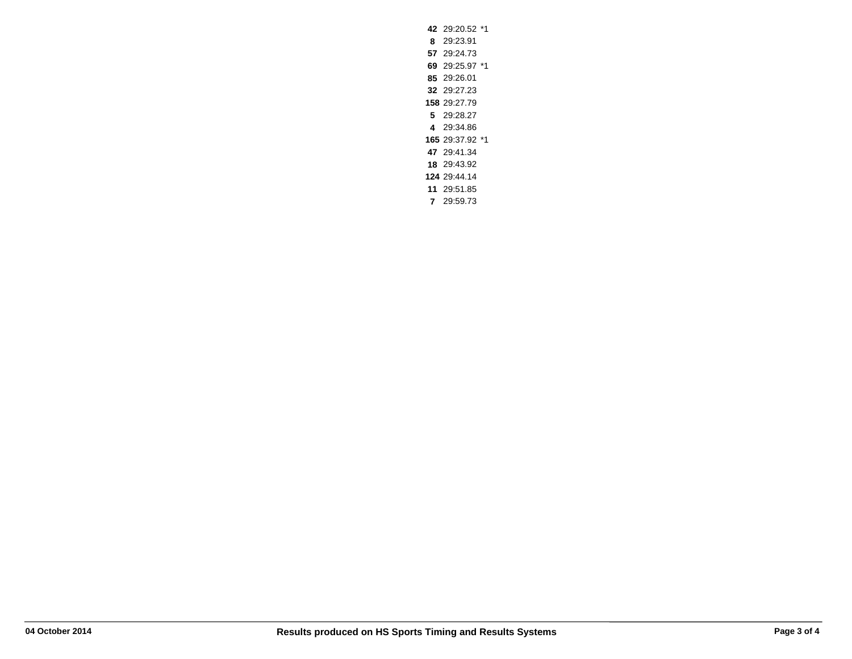29:20.52 \*1 **8** 29:23.91 29:24.73 29:25.97 \*1 29:26.01 29:27.23 29:27.79 **5** 29:28.27 **4** 29:34.86 29:37.92 \*1 29:41.34 29:43.92 29:44.14 29:51.85 **7** 29:59.73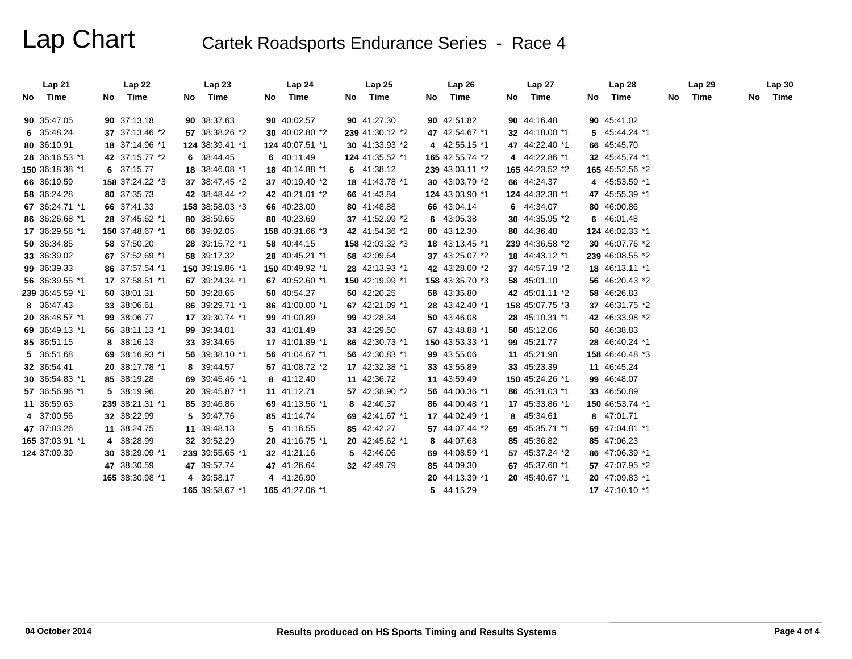## Lap Chart Cartek Roadsports Endurance Series - Race 4

|         | Lap21           |    | Lap22           |    | Lap23           |     | Lap 24          | Lap25           |    | Lap26           | Lap 27          |    | Lap28           |    | Lap29 | Lap30   |
|---------|-----------------|----|-----------------|----|-----------------|-----|-----------------|-----------------|----|-----------------|-----------------|----|-----------------|----|-------|---------|
| No Time |                 | No | Time            | No | Time            | No. | Time            | No Time         | No | Time            | No Time         | No | Time            | No | Time  | No Time |
|         | 90 35:47.05     |    | 90 37:13.18     |    | 90 38:37.63     |     | 90 40:02.57     | 90 41:27.30     |    | 90 42:51.82     | 90 44:16.48     |    | 90 45:41.02     |    |       |         |
|         | 6 35:48.24      |    | 37 37:13.46 *2  |    | 57 38:38.26 *2  |     | 30 40:02.80 *2  | 239 41:30.12 *2 |    | 47 42:54.67 *1  | 32 44:18.00 *1  |    | 5 45:44.24 *1   |    |       |         |
|         | 80 36:10.91     |    | 18 37:14.96 *1  |    | 124 38:39.41 *1 |     | 124 40:07.51 *1 | 30 41:33.93 *2  |    | 4 42:55.15 *1   | 47 44:22.40 *1  |    | 66 45:45.70     |    |       |         |
|         | 28 36:16.53 *1  |    | 42 37:15.77 *2  |    | 6 38:44.45      |     | 6 40:11.49      | 124 41:35.52 *1 |    | 165 42:55.74 *2 | 4 44:22.86 *1   |    | 32 45:45.74 *1  |    |       |         |
|         |                 |    | 6 37:15.77      |    |                 |     | 18 40:14.88 *1  |                 |    |                 | 165 44:23.52 *2 |    |                 |    |       |         |
|         | 150 36:18.38 *1 |    |                 |    | 18 38:46.08 *1  |     |                 | 6 41:38.12      |    | 239 43:03.11 *2 |                 |    | 165 45:52.56 *2 |    |       |         |
|         | 66 36:19.59     |    | 158 37:24.22 *3 |    | 37 38:47.45 *2  |     | 37 40:19.40 *2  | 18 41:43.78 *1  |    | 30 43:03.79 *2  | 66 44:24.37     |    | 4 45:53.59 *1   |    |       |         |
|         | 58 36:24.28     |    | 80 37:35.73     |    | 42 38:48.44 *2  |     | 42 40:21.01 *2  | 66 41:43.84     |    | 124 43:03.90 *1 | 124 44:32.38 *1 |    | 47 45:55.39 *1  |    |       |         |
|         | 67 36:24.71 *1  |    | 66 37:41.33     |    | 158 38:58.03 *3 |     | 66 40:23.00     | 80 41:48.88     |    | 66 43:04.14     | 6 44:34.07      |    | 80 46:00.86     |    |       |         |
|         | 86 36:26.68 *1  |    | 28 37:45.62 *1  |    | 80 38:59.65     |     | 80 40:23.69     | 37 41:52.99 *2  |    | 6 43:05.38      | 30 44:35.95 *2  |    | 6 46:01.48      |    |       |         |
|         | 17 36:29.58 *1  |    | 150 37:48.67 *1 |    | 66 39:02.05     |     | 158 40:31.66 *3 | 42 41:54.36 *2  |    | 80 43:12.30     | 80 44:36.48     |    | 124 46:02.33 *1 |    |       |         |
|         | 50 36:34.85     |    | 58 37:50.20     |    | 28 39:15.72 *1  |     | 58 40:44.15     | 158 42:03.32 *3 |    | 18 43:13.45 *1  | 239 44:36.58 *2 |    | 30 46:07.76 *2  |    |       |         |
|         | 33 36:39.02     |    | 67 37:52.69 *1  |    | 58 39:17.32     |     | 28 40:45.21 *1  | 58 42:09.64     |    | 37 43:25.07 *2  | 18 44:43.12 *1  |    | 239 46:08.55 *2 |    |       |         |
|         | 99 36:39.33     |    | 86 37:57.54 *1  |    | 150 39:19.86 *1 |     | 150 40:49.92 *1 | 28 42:13.93 *1  |    | 42 43:28.00 *2  | 37 44:57.19 *2  |    | 18 46:13.11 *1  |    |       |         |
|         | 56 36:39.55 *1  |    | 17 37:58.51 *1  |    | 67 39:24.34 *1  |     | 67 40:52.60 *1  | 150 42:19.99 *1 |    | 158 43:35.70 *3 | 58 45:01.10     |    | 56 46:20.43 *2  |    |       |         |
|         | 239 36:45.59 *1 |    | 50 38:01.31     |    | 50 39:28.65     |     | 50 40:54.27     | 50 42:20.25     |    | 58 43:35.80     | 42 45:01.11 *2  |    | 58 46:26.83     |    |       |         |
|         | 8 36:47.43      |    | 33 38:06.61     |    | 86 39:29.71 *1  |     | 86 41:00.00 *1  | 67 42:21.09 *1  |    | 28 43:42.40 *1  | 158 45:07.75 *3 |    | 37 46:31.75 *2  |    |       |         |
|         | 20 36:48.57 *1  |    | 99 38:06.77     |    | 17 39:30.74 *1  |     | 99 41:00.89     | 99 42:28.34     |    | 50 43:46.08     | 28 45:10.31 *1  |    | 42 46:33.98 *2  |    |       |         |
|         | 69 36:49.13 *1  |    | 56 38:11.13 *1  |    | 99 39:34.01     |     | 33 41:01.49     | 33 42:29.50     |    | 67 43:48.88 *1  | 50 45:12.06     |    | 50 46:38.83     |    |       |         |
|         | 85 36:51.15     |    | 8 38:16.13      |    | 33 39:34.65     |     | 17 41:01.89 *1  | 86 42:30.73 *1  |    | 150 43:53.33 *1 | 99 45:21.77     |    | 28 46:40.24 *1  |    |       |         |
|         | 5 36:51.68      |    | 69 38:16.93 *1  |    | 56 39:38.10 *1  |     | 56 41:04.67 *1  | 56 42:30.83 *1  |    | 99 43:55.06     | 11 45:21.98     |    | 158 46:40.48 *3 |    |       |         |
|         | 32 36:54.41     |    | 20 38:17.78 *1  |    | 8 39:44.57      |     | 57 41:08.72 *2  | 17 42:32.38 *1  |    | 33 43:55.89     | 33 45:23.39     |    | 11 46:45.24     |    |       |         |
|         | 30 36:54.83 *1  |    | 85 38:19.28     |    | 69 39:45.46 *1  |     | 8 41:12.40      | 11 42:36.72     |    | 11 43:59.49     | 150 45:24.26 *1 |    | 99 46:48.07     |    |       |         |
|         | 57 36:56.96 *1  |    | 5 38:19.96      |    | 20 39:45.87 *1  |     | 11 41:12.71     | 57 42:38.90 *2  |    | 56 44:00.36 *1  | 86 45:31.03 *1  |    | 33 46:50.89     |    |       |         |
|         | 11 36:59.63     |    | 239 38:21.31 *1 |    | 85 39:46.86     |     | 69 41:13.56 *1  | 8 42:40.37      |    | 86 44:00.48 *1  | 17 45:33.86 *1  |    | 150 46:53.74 *1 |    |       |         |
|         | 4 37:00.56      |    | 32 38:22.99     |    | 5 39:47.76      |     | 85 41:14.74     | 69 42:41.67 *1  |    | 17 44:02.49 *1  | 8 45:34.61      |    | 8 47:01.71      |    |       |         |
|         | 47 37:03.26     |    | 11 38:24.75     |    | 11 39:48.13     |     | 5 41:16.55      | 85 42:42.27     |    | 57 44:07.44 *2  | 69 45:35.71 *1  |    | 69 47:04.81 *1  |    |       |         |
|         | 165 37:03.91 *1 |    | 4 38:28.99      |    | 32 39:52.29     |     | 20 41:16.75 *1  | 20 42:45.62 *1  |    | 8 44:07.68      | 85 45:36.82     |    | 85 47:06.23     |    |       |         |
|         | 124 37:09.39    |    | 30 38:29.09 *1  |    | 239 39:55.65 *1 |     | 32 41:21.16     | 5 42:46.06      |    | 69 44:08.59 *1  | 57 45:37.24 *2  |    | 86 47:06.39 *1  |    |       |         |
|         |                 |    | 47 38:30.59     |    | 47 39:57.74     |     | 47 41:26.64     | 32 42:49.79     |    | 85 44:09.30     | 67 45:37.60 *1  |    | 57 47:07.95 *2  |    |       |         |
|         |                 |    | 165 38:30.98 *1 |    | 4 39:58.17      |     | 4 41:26.90      |                 |    | 20 44:13.39 *1  | 20 45:40.67 *1  |    | 20 47:09.83 *1  |    |       |         |
|         |                 |    |                 |    | 165 39:58.67 *1 |     | 165 41:27.06 *1 |                 |    | 5 44:15.29      |                 |    | 17 47:10.10 *1  |    |       |         |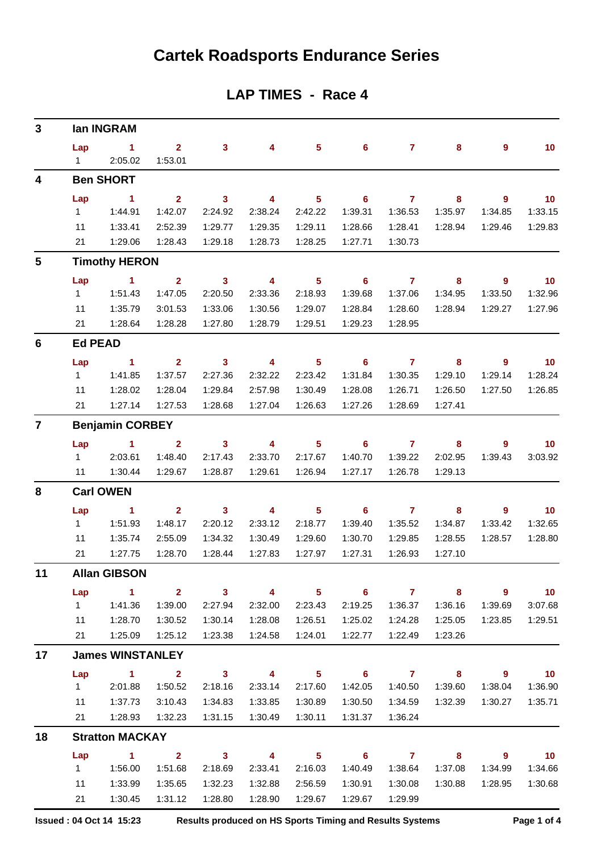## **Cartek Roadsports Endurance Series**

### **LAP TIMES - Race 4**

| 3              |                     | lan INGRAM                 |                         |                            |                          |                            |                            |                    |                            |                          |                             |
|----------------|---------------------|----------------------------|-------------------------|----------------------------|--------------------------|----------------------------|----------------------------|--------------------|----------------------------|--------------------------|-----------------------------|
|                | Lap<br>$\mathbf{1}$ | $\sim$ 1<br>2:05.02        | $2^{\circ}$<br>1:53.01  | 3 <sup>7</sup>             | $\overline{4}$           | 5 <sup>5</sup>             | $6^{\circ}$                | 7 <sup>7</sup>     | 8                          | 9                        | 10                          |
| 4              |                     | <b>Ben SHORT</b>           |                         |                            |                          |                            |                            |                    |                            |                          |                             |
|                | Lap                 | $\mathbf{1}$               | 2 <sup>1</sup>          | $\mathbf{3}$               | $\overline{\mathbf{4}}$  | $5\phantom{a}$             | 6                          | $\overline{7}$     | 8                          | $\overline{9}$           | 10                          |
|                | 1                   | 1:44.91                    | 1:42.07                 | 2:24.92                    | 2:38.24                  | 2:42.22                    | 1:39.31                    | 1:36.53            | 1:35.97                    | 1:34.85                  | 1:33.15                     |
|                | 11                  | 1:33.41                    | 2:52.39                 | 1:29.77                    | 1:29.35                  | 1:29.11                    | 1:28.66                    | 1:28.41            | 1:28.94                    | 1:29.46                  | 1:29.83                     |
|                | 21                  | 1:29.06                    | 1:28.43                 | 1:29.18                    | 1:28.73                  | 1:28.25                    | 1:27.71                    | 1:30.73            |                            |                          |                             |
| 5              |                     | <b>Timothy HERON</b>       |                         |                            |                          |                            |                            |                    |                            |                          |                             |
|                | Lap                 | $\blacksquare$             | $\overline{2}$          | $\overline{\mathbf{3}}$    | $\overline{4}$           | 5 <sub>5</sub>             | $\overline{\phantom{0}}$ 6 | $\overline{7}$     | $\bf{8}$                   | $\overline{\phantom{a}}$ | 10                          |
|                | $\mathbf{1}$        | 1:51.43                    | 1:47.05                 | 2:20.50                    | 2:33.36                  | 2:18.93                    | 1:39.68                    | 1:37.06            | 1:34.95                    | 1:33.50                  | 1:32.96                     |
|                | 11                  | 1:35.79                    | 3:01.53                 | 1:33.06                    | 1:30.56                  | 1:29.07                    | 1:28.84                    | 1:28.60            | 1:28.94                    | 1:29.27                  | 1:27.96                     |
|                | 21                  | 1:28.64                    | 1:28.28                 | 1:27.80                    | 1:28.79                  | 1:29.51                    | 1:29.23                    | 1:28.95            |                            |                          |                             |
| 6              | <b>Ed PEAD</b>      |                            |                         |                            |                          |                            |                            |                    |                            |                          |                             |
|                | Lap                 | $\sim$ 1                   | $\mathbf{2}$            | $\overline{\mathbf{3}}$    | $\overline{\phantom{a}}$ | 5 <sub>5</sub>             | $\overline{\phantom{0}}$ 6 | $\overline{7}$     | 8                          | 9                        | $\blacksquare$ 10           |
|                | $\mathbf{1}$        | 1:41.85                    | 1:37.57                 | 2:27.36                    | 2:32.22                  | 2:23.42                    | 1:31.84                    | 1:30.35            | 1:29.10                    | 1:29.14                  | 1:28.24                     |
|                | 11                  | 1:28.02                    | 1:28.04                 | 1:29.84                    | 2:57.98                  | 1:30.49                    | 1:28.08                    | 1:26.71            | 1:26.50                    | 1:27.50                  | 1:26.85                     |
|                | 21                  | 1:27.14                    | 1:27.53                 | 1:28.68                    | 1:27.04                  | 1:26.63                    | 1:27.26                    | 1:28.69            | 1:27.41                    |                          |                             |
| $\overline{7}$ |                     | <b>Benjamin CORBEY</b>     |                         |                            |                          |                            |                            |                    |                            |                          |                             |
|                | Lap                 | $\sim$ 1                   | 2 <sup>1</sup>          | $\overline{\mathbf{3}}$    | $\overline{\mathbf{4}}$  | 5 <sub>5</sub>             | $6\phantom{.}6$            | $\overline{7}$     | 8                          | 9                        | 10                          |
|                | $1 \quad$           | 2:03.61                    | 1:48.40                 | 2:17.43                    | 2:33.70                  | 2:17.67                    | 1:40.70                    | 1:39.22            | 2:02.95                    | 1:39.43                  | 3:03.92                     |
|                | 11                  | 1:30.44                    | 1:29.67                 | 1:28.87                    | 1:29.61                  | 1:26.94                    | 1:27.17                    | 1:26.78            | 1:29.13                    |                          |                             |
| 8              |                     | <b>Carl OWEN</b>           |                         |                            |                          |                            |                            |                    |                            |                          |                             |
|                | Lap                 | $\blacktriangleleft$       | $\overline{2}$          | $\overline{\phantom{a}}$ 3 | $\overline{\mathbf{4}}$  | 5 <sub>5</sub>             | $\overline{\phantom{0}}$ 6 | $\overline{7}$     | 8                          | 9                        | 10                          |
|                | 1                   | 1:51.93                    | 1:48.17                 | 2:20.12                    | 2:33.12                  | 2:18.77                    | 1:39.40                    | 1:35.52            | 1:34.87                    | 1:33.42                  | 1:32.65                     |
|                | 11                  | 1:35.74                    | 2:55.09                 | 1:34.32                    | 1:30.49                  | 1:29.60                    | 1:30.70                    | 1:29.85            | 1:28.55                    | 1:28.57                  | 1:28.80                     |
|                | 21                  | 1:27.75                    | 1:28.70                 | 1:28.44                    | 1:27.83                  | 1:27.97                    | 1:27.31                    | 1:26.93            | 1:27.10                    |                          |                             |
| 11             |                     | <b>Allan GIBSON</b>        |                         |                            |                          |                            |                            |                    |                            |                          |                             |
|                | Lap                 | $\sim$ 1                   | $\overline{2}$          | $\overline{\mathbf{3}}$    | $\overline{\mathbf{4}}$  | 5 <sub>5</sub>             | $6\phantom{1}$             | $\overline{7}$     | 8                          | $9^{\circ}$              | 10                          |
|                | 1                   | 1:41.36                    | 1:39.00                 | 2:27.94                    | 2:32.00                  | 2:23.43                    | 2:19.25                    | 1:36.37            | 1:36.16                    | 1:39.69                  | 3:07.68                     |
|                | 11<br>21            | 1:28.70<br>1:25.09         | 1:30.52<br>1:25.12      | 1:30.14<br>1:23.38         | 1:28.08<br>1:24.58       | 1:26.51<br>1:24.01         | 1:25.02<br>1:22.77         | 1:24.28<br>1:22.49 | 1:25.05<br>1:23.26         | 1:23.85                  | 1:29.51                     |
| 17             |                     | <b>James WINSTANLEY</b>    |                         |                            |                          |                            |                            |                    |                            |                          |                             |
|                | Lap                 | $\overline{\phantom{a}}$ 1 | $\overline{\mathbf{2}}$ | $\overline{\mathbf{3}}$    | $\overline{4}$           | $\overline{\phantom{1}}$ 5 |                            | $6 \overline{7}$   | $\overline{\mathbf{8}}$    | $\overline{\phantom{a}}$ | $\overline{\phantom{0}}$ 10 |
|                | $1 \quad$           | 2:01.88                    | 1:50.52                 | 2:18.16                    | 2:33.14                  | 2:17.60                    | 1:42.05                    | 1:40.50            | 1:39.60                    | 1:38.04                  | 1:36.90                     |
|                | 11                  | 1:37.73                    | 3:10.43                 | 1:34.83                    | 1:33.85                  | 1:30.89                    | 1:30.50                    | 1:34.59            | 1:32.39                    | 1:30.27                  | 1:35.71                     |
|                | 21                  | 1:28.93                    | 1:32.23                 | 1:31.15                    | 1:30.49                  | 1:30.11                    | 1:31.37                    | 1:36.24            |                            |                          |                             |
| 18             |                     | <b>Stratton MACKAY</b>     |                         |                            |                          |                            |                            |                    |                            |                          |                             |
|                | Lap                 | $\sim$ 1                   | $\overline{\mathbf{2}}$ | $\overline{\mathbf{3}}$    | $\overline{4}$           | $\overline{\phantom{0}}$ 5 | $\overline{\phantom{a}}$ 6 | $\overline{7}$     | $\overline{\phantom{a}}$ 8 | - 9                      | $\overline{10}$             |
|                | $1 \quad$           | 1:56.00                    | 1:51.68                 | 2:18.69                    | 2:33.41                  | 2:16.03                    | 1:40.49                    | 1:38.64            | 1:37.08                    | 1:34.99                  | 1:34.66                     |
|                | 11                  | 1:33.99                    | 1:35.65                 | 1:32.23                    | 1:32.88                  | 2:56.59                    | 1:30.91                    | 1:30.08            | 1:30.88                    | 1:28.95                  | 1:30.68                     |
|                | 21                  | 1:30.45                    | 1:31.12                 | 1:28.80                    | 1:28.90                  | 1:29.67                    | 1:29.67                    | 1:29.99            |                            |                          |                             |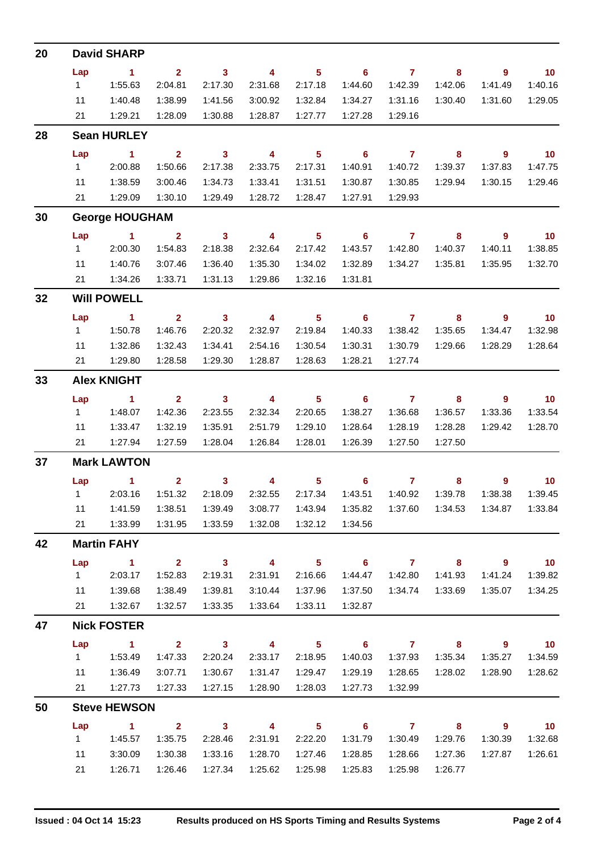| 20 | <b>David SHARP</b>    |              |                         |                            |                         |                            |                            |                |                            |                          |                             |
|----|-----------------------|--------------|-------------------------|----------------------------|-------------------------|----------------------------|----------------------------|----------------|----------------------------|--------------------------|-----------------------------|
|    | Lap                   | $\sim$ 1     | 2 <sup>1</sup>          | $\overline{\mathbf{3}}$    | $\overline{\mathbf{4}}$ | 5 <sub>1</sub>             | $\overline{\phantom{0}}$ 6 | $\overline{7}$ | 8                          | $\overline{\phantom{a}}$ | $\overline{10}$             |
|    | 1                     | 1:55.63      | 2:04.81                 | 2:17.30                    | 2:31.68                 | 2:17.18                    | 1:44.60                    | 1:42.39        | 1:42.06                    | 1:41.49                  | 1:40.16                     |
|    | 11                    | 1:40.48      | 1:38.99                 | 1:41.56                    | 3:00.92                 | 1:32.84                    | 1:34.27                    | 1:31.16        | 1:30.40                    | 1:31.60                  | 1:29.05                     |
|    | 21                    | 1:29.21      | 1:28.09                 | 1:30.88                    | 1:28.87                 | 1:27.77                    | 1:27.28                    | 1:29.16        |                            |                          |                             |
| 28 | <b>Sean HURLEY</b>    |              |                         |                            |                         |                            |                            |                |                            |                          |                             |
|    | Lap                   | $\sim$ 1     | $\overline{\mathbf{2}}$ | $\sim$ 3                   | $\overline{4}$          | 5 <sup>5</sup>             | $\overline{\phantom{0}}$ 6 | $\overline{7}$ | $\overline{\phantom{a}}$ 8 | $\overline{\phantom{a}}$ | $\overline{10}$             |
|    | 1                     | 2:00.88      | 1:50.66                 | 2:17.38                    | 2:33.75                 | 2:17.31                    | 1:40.91                    | 1:40.72        | 1:39.37                    | 1:37.83                  | 1:47.75                     |
|    | 11                    | 1:38.59      | 3:00.46                 | 1:34.73                    | 1:33.41                 | 1:31.51                    | 1:30.87                    | 1:30.85        | 1:29.94                    | 1:30.15                  | 1:29.46                     |
|    | 21                    | 1:29.09      | 1:30.10                 | 1:29.49                    | 1:28.72                 | 1:28.47                    | 1:27.91                    | 1:29.93        |                            |                          |                             |
| 30 | <b>George HOUGHAM</b> |              |                         |                            |                         |                            |                            |                |                            |                          |                             |
|    | Lap                   | $\sim$ 1     | $\overline{2}$          | $\overline{\mathbf{3}}$    | $\overline{4}$          | 5 <sup>5</sup>             | $\overline{\phantom{0}}$ 6 | $\overline{7}$ | 8                          | $9^{\circ}$              | $\overline{\mathbf{10}}$    |
|    | $1 \quad$             | 2:00.30      | 1:54.83                 | 2:18.38                    | 2:32.64                 | 2:17.42                    | 1:43.57                    | 1:42.80        | 1:40.37                    | 1:40.11                  | 1:38.85                     |
|    | 11                    | 1:40.76      | 3:07.46                 | 1:36.40                    | 1:35.30                 | 1:34.02                    | 1:32.89                    | 1:34.27        | 1:35.81                    | 1:35.95                  | 1:32.70                     |
|    | 21                    | 1:34.26      | 1:33.71                 | 1:31.13                    | 1:29.86                 | 1:32.16                    | 1:31.81                    |                |                            |                          |                             |
| 32 | <b>Will POWELL</b>    |              |                         |                            |                         |                            |                            |                |                            |                          |                             |
|    | Lap                   | $\sim$ 1     | $\overline{\mathbf{2}}$ | $\overline{\mathbf{3}}$    | $\overline{4}$          | $\overline{\phantom{0}}$ 5 | $\overline{\phantom{0}}$ 6 | $\overline{7}$ | $\overline{\mathbf{8}}$    | $\overline{\phantom{a}}$ | $\overline{\mathbf{10}}$    |
|    | 1                     | 1:50.78      | 1:46.76                 | 2:20.32                    | 2:32.97                 | 2:19.84                    | 1:40.33                    | 1:38.42        | 1:35.65                    | 1:34.47                  | 1:32.98                     |
|    | 11                    | 1:32.86      | 1:32.43                 | 1:34.41                    | 2:54.16                 | 1:30.54                    | 1:30.31                    | 1:30.79        | 1:29.66                    | 1:28.29                  | 1:28.64                     |
|    | 21                    | 1:29.80      | 1:28.58                 | 1:29.30                    | 1:28.87                 | 1:28.63                    | 1:28.21                    | 1:27.74        |                            |                          |                             |
| 33 | <b>Alex KNIGHT</b>    |              |                         |                            |                         |                            |                            |                |                            |                          |                             |
|    | Lap                   | $\sim$ 1     | 2 <sup>2</sup>          | $\sim$ 3                   | $\overline{4}$          | $\overline{\phantom{0}}$ 5 | $\overline{\phantom{0}}$ 6 | $\overline{7}$ | 8                          | - 9                      | $\overline{\mathbf{10}}$    |
|    | $1 \quad$             | 1:48.07      | 1:42.36                 | 2:23.55                    | 2:32.34                 | 2:20.65                    | 1:38.27                    | 1:36.68        | 1:36.57                    | 1:33.36                  | 1:33.54                     |
|    | 11                    | 1:33.47      | 1:32.19                 | 1:35.91                    | 2:51.79                 | 1:29.10                    | 1:28.64                    | 1:28.19        | 1:28.28                    | 1:29.42                  | 1:28.70                     |
|    | 21                    | 1:27.94      | 1:27.59                 | 1:28.04                    | 1:26.84                 | 1:28.01                    | 1:26.39                    | 1:27.50        | 1:27.50                    |                          |                             |
| 37 | <b>Mark LAWTON</b>    |              |                         |                            |                         |                            |                            |                |                            |                          |                             |
|    |                       | Lap 1 2 3 4  |                         |                            |                         |                            | $5 \t\t 6 \t\t 7$          |                | $8 -$                      | $9^{\circ}$              | $\overline{\phantom{0}}$ 10 |
|    |                       | 1 2:03.16    | 1:51.32                 | 2:18.09                    | 2:32.55                 | 2:17.34                    | 1:43.51                    | 1:40.92        | 1:39.78                    | 1:38.38                  | 1:39.45                     |
|    | 11                    | 1:41.59      | 1:38.51                 | 1:39.49                    | 3:08.77                 | 1:43.94                    | 1:35.82                    | 1:37.60        | 1:34.53                    | 1:34.87                  | 1:33.84                     |
|    | 21                    | 1:33.99      | 1:31.95                 | 1:33.59                    | 1:32.08                 | 1:32.12                    | 1:34.56                    |                |                            |                          |                             |
| 42 | <b>Martin FAHY</b>    |              |                         |                            |                         |                            |                            |                |                            |                          |                             |
|    | Lap                   | $\sim$ 1     | $2^{\circ}$             | $\overline{\mathbf{3}}$    | $\overline{4}$          | 5 <sub>1</sub>             | $\overline{\phantom{0}}$ 6 | $\overline{7}$ | 8                          | $\overline{\phantom{a}}$ | $\overline{10}$             |
|    | $1 \quad$             | 2:03.17      | 1:52.83                 | 2:19.31                    | 2:31.91                 | 2:16.66                    | 1:44.47                    | 1:42.80        | 1:41.93                    | 1:41.24                  | 1:39.82                     |
|    | 11                    | 1:39.68      | 1:38.49                 | 1:39.81                    | 3:10.44                 | 1:37.96                    | 1:37.50                    | 1:34.74        | 1:33.69                    | 1:35.07                  | 1:34.25                     |
|    | 21                    | 1:32.67      | 1:32.57                 | 1:33.35                    | 1:33.64                 | 1:33.11                    | 1:32.87                    |                |                            |                          |                             |
| 47 | <b>Nick FOSTER</b>    |              |                         |                            |                         |                            |                            |                |                            |                          |                             |
|    | Lap                   | $\sim$ 1     | $2^{\circ}$             | $\overline{\mathbf{3}}$    | $\overline{4}$          | 5 <sub>5</sub>             | $\overline{\phantom{0}}$ 6 | $\overline{7}$ | $\bf{8}$                   | 9                        | $\overline{10}$             |
|    | $1 \quad$             | 1:53.49      | 1:47.33                 | 2:20.24                    | 2:33.17                 | 2:18.95                    | 1:40.03                    | 1:37.93        | 1:35.34                    | 1:35.27                  | 1:34.59                     |
|    | 11                    | 1:36.49      | 3:07.71                 | 1:30.67                    | 1:31.47                 | 1:29.47                    | 1:29.19                    | 1:28.65        | 1:28.02                    | 1:28.90                  | 1:28.62                     |
|    | 21                    | 1:27.73      | 1:27.33                 | 1:27.15                    | 1:28.90                 | 1:28.03                    | 1:27.73                    | 1:32.99        |                            |                          |                             |
| 50 | <b>Steve HEWSON</b>   |              |                         |                            |                         |                            |                            |                |                            |                          |                             |
|    | Lap                   | $\mathbf{1}$ | $\mathbf{2}$            | $\overline{\phantom{a}}$ 3 | $\overline{\mathbf{4}}$ | 5 <sub>5</sub>             | $6\phantom{1}6$            | $\overline{7}$ | 8                          | 9                        | 10                          |
|    | 1                     | 1:45.57      | 1:35.75                 | 2:28.46                    | 2:31.91                 | 2:22.20                    | 1:31.79                    | 1:30.49        | 1:29.76                    | 1:30.39                  | 1:32.68                     |
|    | 11                    | 3:30.09      | 1:30.38                 | 1:33.16                    | 1:28.70                 | 1:27.46                    | 1:28.85                    | 1:28.66        | 1:27.36                    | 1:27.87                  | 1:26.61                     |
|    | 21                    | 1:26.71      | 1:26.46                 | 1:27.34                    | 1:25.62                 | 1:25.98                    | 1:25.83                    | 1:25.98        | 1:26.77                    |                          |                             |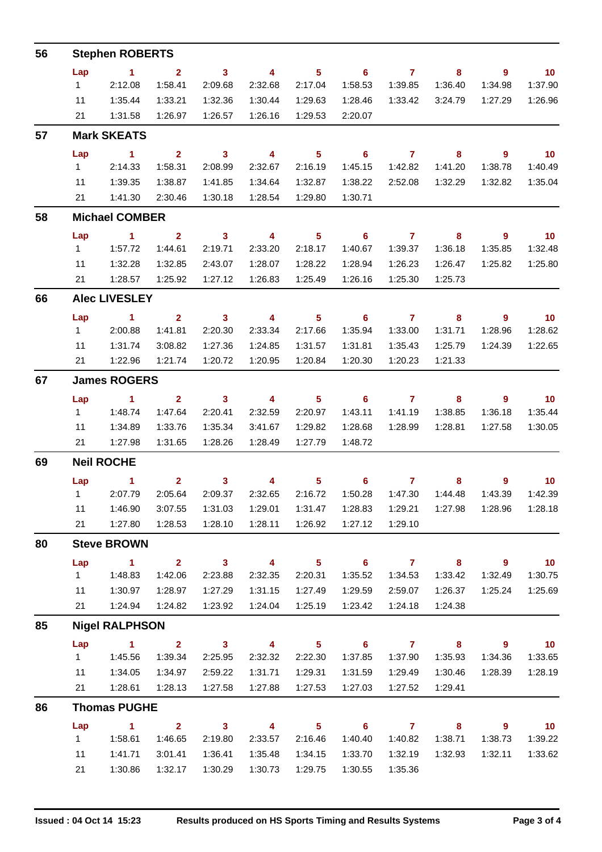| 56 | <b>Stephen ROBERTS</b> |                               |                         |                            |                         |                            |                            |                     |                         |                            |                             |  |  |
|----|------------------------|-------------------------------|-------------------------|----------------------------|-------------------------|----------------------------|----------------------------|---------------------|-------------------------|----------------------------|-----------------------------|--|--|
|    | Lap                    | $\overline{1}$ $\overline{2}$ |                         | $\overline{\mathbf{3}}$    | $\overline{\mathbf{4}}$ | $\overline{\phantom{0}}$ 5 |                            | $6 \qquad \qquad 7$ | $\overline{\mathbf{8}}$ | $\overline{\phantom{a}}$   | $\overline{10}$             |  |  |
|    | $1 \quad$              | 2:12.08                       | 1:58.41                 | 2:09.68                    | 2:32.68                 | 2:17.04                    | 1:58.53                    | 1:39.85             | 1:36.40                 | 1:34.98                    | 1:37.90                     |  |  |
|    | 11                     | 1:35.44                       | 1:33.21                 | 1:32.36                    | 1:30.44                 | 1:29.63                    | 1:28.46                    | 1:33.42             | 3:24.79                 | 1:27.29                    | 1:26.96                     |  |  |
|    |                        | 21   1:31.58                  | 1:26.97                 | 1:26.57                    | 1:26.16                 | 1:29.53                    | 2:20.07                    |                     |                         |                            |                             |  |  |
| 57 | <b>Mark SKEATS</b>     |                               |                         |                            |                         |                            |                            |                     |                         |                            |                             |  |  |
|    | Lap                    | $\sim$ $\sim$ 1               | $\overline{\mathbf{2}}$ | $\overline{\mathbf{3}}$    | $\overline{\mathbf{4}}$ | $\overline{\phantom{0}}$ 5 |                            | $6$ $7$ $8$         |                         | $\overline{\phantom{a}}$ 9 | $\overline{10}$             |  |  |
|    | $1 \quad \Box$         | 2:14.33                       | 1:58.31                 | 2:08.99                    | 2:32.67                 | 2:16.19                    | 1:45.15                    | 1:42.82             | 1:41.20                 | 1:38.78                    | 1:40.49                     |  |  |
|    | 11                     | 1:39.35                       | 1:38.87                 | 1:41.85                    | 1:34.64                 | 1:32.87                    | 1:38.22                    | 2:52.08             | 1:32.29                 | 1:32.82                    | 1:35.04                     |  |  |
|    | 21                     | 1:41.30                       | 2:30.46                 | 1:30.18                    | 1:28.54                 | 1:29.80                    | 1:30.71                    |                     |                         |                            |                             |  |  |
| 58 |                        | <b>Michael COMBER</b>         |                         |                            |                         |                            |                            |                     |                         |                            |                             |  |  |
|    | Lap                    | $\sim$ 1                      | $\overline{\mathbf{2}}$ | $\overline{\mathbf{3}}$    | $\overline{4}$          | 5 <sub>1</sub>             | $\overline{\phantom{0}}$ 6 | $\overline{7}$      | 8                       | $\overline{\phantom{a}}$   | $\overline{\mathbf{10}}$    |  |  |
|    |                        | 1.57.72                       | 1:44.61                 | 2:19.71                    | 2:33.20                 | 2:18.17                    | 1:40.67                    | 1:39.37             | 1:36.18                 | 1:35.85                    | 1:32.48                     |  |  |
|    | 11                     | 1:32.28                       | 1:32.85                 | 2:43.07                    | 1:28.07                 | 1:28.22                    | 1:28.94                    | 1:26.23             | 1:26.47                 | 1:25.82                    | 1:25.80                     |  |  |
|    | 21                     | 1:28.57                       | 1:25.92                 | 1:27.12                    | 1:26.83                 | 1:25.49                    | 1:26.16                    | 1:25.30             | 1:25.73                 |                            |                             |  |  |
| 66 | <b>Alec LIVESLEY</b>   |                               |                         |                            |                         |                            |                            |                     |                         |                            |                             |  |  |
|    | Lap                    | $\overline{1}$ $\overline{2}$ |                         | $\overline{\mathbf{3}}$    | $\overline{\mathbf{4}}$ | $\overline{\phantom{0}}$ 5 |                            | $6 \qquad \qquad 7$ | $\overline{\mathbf{8}}$ | $\overline{\phantom{a}}$ 9 | $\overline{\mathbf{10}}$    |  |  |
|    | $1 \quad$              | 2:00.88                       | 1:41.81                 | 2:20.30                    | 2:33.34                 | 2:17.66                    | 1:35.94                    | 1:33.00             | 1:31.71                 | 1:28.96                    | 1:28.62                     |  |  |
|    | 11                     | 1:31.74                       | 3:08.82                 | 1:27.36                    | 1:24.85                 | 1:31.57                    | 1:31.81                    | 1:35.43             | 1:25.79                 | 1:24.39                    | 1:22.65                     |  |  |
|    |                        | 21 1:22.96                    | 1:21.74                 | 1:20.72                    | 1:20.95                 | 1:20.84                    | 1:20.30                    | 1:20.23             | 1:21.33                 |                            |                             |  |  |
| 67 | <b>James ROGERS</b>    |                               |                         |                            |                         |                            |                            |                     |                         |                            |                             |  |  |
|    | Lap                    | $\sim$ 1                      | $\overline{\mathbf{2}}$ | $3 \t 4$                   |                         | $\overline{\phantom{0}}$ 5 |                            | $6$ $7$ $8$         |                         | - 9                        | $\overline{\phantom{0}}$ 10 |  |  |
|    | $1 \quad$              | 1:48.74                       | 1:47.64                 | 2:20.41                    | 2:32.59                 | 2:20.97                    | 1:43.11                    | 1:41.19             | 1:38.85                 | 1:36.18                    | 1:35.44                     |  |  |
|    | 11                     | 1:34.89                       | 1:33.76                 | 1:35.34                    | 3:41.67                 | 1:29.82                    | 1:28.68                    | 1:28.99             | 1:28.81                 | 1:27.58                    | 1:30.05                     |  |  |
|    |                        | 21 1:27.98                    | 1:31.65                 | 1:28.26                    | 1:28.49                 | 1:27.79                    | 1:48.72                    |                     |                         |                            |                             |  |  |
| 69 | <b>Neil ROCHE</b>      |                               |                         |                            |                         |                            |                            |                     |                         |                            |                             |  |  |
|    |                        | Lap 1                         |                         |                            |                         |                            | 2 3 4 5 6 7 8 9 10         |                     |                         |                            |                             |  |  |
|    |                        | 1 2:07.79                     | 2:05.64                 | 2:09.37                    |                         | 2:32.65 2:16.72            | 1:50.28                    | 1:47.30             | 1:44.48                 | 1:43.39                    | 1:42.39                     |  |  |
|    | 11                     | 1:46.90                       | 3:07.55                 | 1:31.03                    | 1:29.01                 | 1:31.47                    | 1:28.83                    | 1:29.21             | 1:27.98                 | 1:28.96                    | 1:28.18                     |  |  |
|    | 21                     | 1:27.80                       | 1:28.53                 | 1:28.10                    | 1:28.11                 | 1:26.92                    | 1:27.12                    | 1:29.10             |                         |                            |                             |  |  |
| 80 | <b>Steve BROWN</b>     |                               |                         |                            |                         |                            |                            |                     |                         |                            |                             |  |  |
|    | Lap                    | $\blacktriangleleft$          | $2^{\circ}$             | $\overline{\mathbf{3}}$    | $\overline{4}$          | 5 <sub>5</sub>             | $\overline{\phantom{0}}$ 6 | $\overline{7}$      | 8                       | $9^{\circ}$                | 10                          |  |  |
|    | 1                      | 1:48.83                       | 1:42.06                 | 2:23.88                    | 2:32.35                 | 2:20.31                    | 1:35.52                    | 1:34.53             | 1:33.42                 | 1:32.49                    | 1:30.75                     |  |  |
|    | 11                     | 1:30.97                       | 1:28.97                 | 1:27.29                    | 1:31.15                 | 1:27.49                    | 1:29.59                    | 2:59.07             | 1:26.37                 | 1:25.24                    | 1:25.69                     |  |  |
|    | 21                     | 1:24.94                       | 1:24.82                 | 1:23.92                    | 1:24.04                 | 1:25.19                    | 1:23.42                    | 1:24.18             | 1:24.38                 |                            |                             |  |  |
| 85 | <b>Nigel RALPHSON</b>  |                               |                         |                            |                         |                            |                            |                     |                         |                            |                             |  |  |
|    | Lap                    | $\sim$ 1                      | 2 <sup>1</sup>          | $\overline{\phantom{a}}$ 3 | $\overline{\mathbf{4}}$ | 5 <sub>5</sub>             | 6 <sup>1</sup>             | $\overline{7}$      | 8                       | $9^{\circ}$                | 10                          |  |  |
|    | 1                      | 1:45.56                       | 1:39.34                 | 2:25.95                    | 2:32.32                 | 2:22.30                    | 1:37.85                    | 1:37.90             | 1:35.93                 | 1:34.36                    | 1:33.65                     |  |  |
|    | 11                     | 1:34.05                       | 1:34.97                 | 2:59.22                    | 1:31.71                 | 1:29.31                    | 1:31.59                    | 1:29.49             | 1:30.46                 | 1:28.39                    | 1:28.19                     |  |  |
|    | 21                     | 1:28.61                       | 1:28.13                 | 1:27.58                    | 1:27.88                 | 1:27.53                    | 1:27.03                    | 1:27.52             | 1:29.41                 |                            |                             |  |  |
| 86 | <b>Thomas PUGHE</b>    |                               |                         |                            |                         |                            |                            |                     |                         |                            |                             |  |  |
|    | Lap                    | $\blacktriangleleft$          | $\overline{2}$          | $\mathbf{3}$               | $\overline{\mathbf{4}}$ | 5 <sup>5</sup>             | $6\phantom{1}$             | $\mathbf{7}$        | 8                       | 9                          | 10                          |  |  |
|    | 1                      | 1:58.61                       | 1:46.65                 | 2:19.80                    | 2:33.57                 | 2:16.46                    | 1:40.40                    | 1:40.82             | 1:38.71                 | 1:38.73                    | 1:39.22                     |  |  |
|    | 11                     | 1:41.71                       | 3:01.41                 | 1:36.41                    | 1:35.48                 | 1:34.15                    | 1:33.70                    | 1:32.19             | 1:32.93                 | 1:32.11                    | 1:33.62                     |  |  |
|    | 21                     | 1:30.86                       | 1:32.17                 | 1:30.29                    | 1:30.73                 | 1:29.75                    | 1:30.55                    | 1:35.36             |                         |                            |                             |  |  |